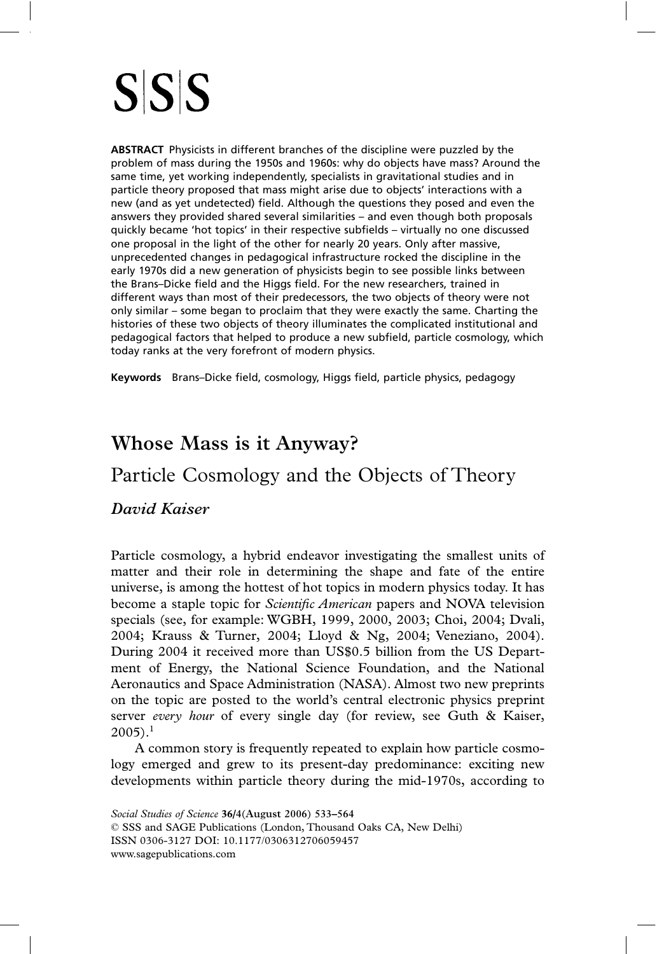# $S|S|S$

**ABSTRACT** Physicists in different branches of the discipline were puzzled by the problem of mass during the 1950s and 1960s: why do objects have mass? Around the same time, yet working independently, specialists in gravitational studies and in particle theory proposed that mass might arise due to objects' interactions with a new (and as yet undetected) field. Although the questions they posed and even the answers they provided shared several similarities – and even though both proposals quickly became 'hot topics' in their respective subfields – virtually no one discussed one proposal in the light of the other for nearly 20 years. Only after massive, unprecedented changes in pedagogical infrastructure rocked the discipline in the early 1970s did a new generation of physicists begin to see possible links between the Brans–Dicke field and the Higgs field. For the new researchers, trained in different ways than most of their predecessors, the two objects of theory were not only similar – some began to proclaim that they were exactly the same. Charting the histories of these two objects of theory illuminates the complicated institutional and pedagogical factors that helped to produce a new subfield, particle cosmology, which today ranks at the very forefront of modern physics.

**Keywords** Brans–Dicke field, cosmology, Higgs field, particle physics, pedagogy

# **Whose Mass is it Anyway?**

# Particle Cosmology and the Objects of Theory

# *David Kaiser*

Particle cosmology, a hybrid endeavor investigating the smallest units of matter and their role in determining the shape and fate of the entire universe, is among the hottest of hot topics in modern physics today. It has become a staple topic for *Scientific American* papers and NOVA television specials (see, for example: WGBH, 1999, 2000, 2003; Choi, 2004; Dvali, 2004; Krauss & Turner, 2004; Lloyd & Ng, 2004; Veneziano, 2004). During 2004 it received more than US\$0.5 billion from the US Department of Energy, the National Science Foundation, and the National Aeronautics and Space Administration (NASA). Almost two new preprints on the topic are posted to the world's central electronic physics preprint server *every hour* of every single day (for review, see Guth & Kaiser,  $2005$ ).<sup>1</sup>

A common story is frequently repeated to explain how particle cosmology emerged and grew to its present-day predominance: exciting new developments within particle theory during the mid-1970s, according to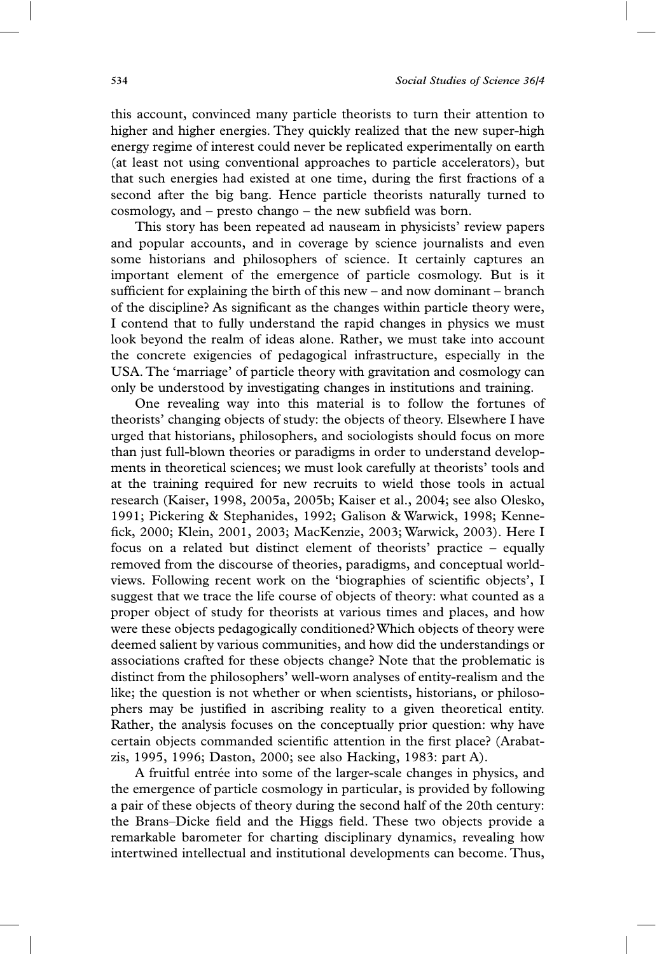this account, convinced many particle theorists to turn their attention to higher and higher energies. They quickly realized that the new super-high energy regime of interest could never be replicated experimentally on earth (at least not using conventional approaches to particle accelerators), but that such energies had existed at one time, during the first fractions of a second after the big bang. Hence particle theorists naturally turned to cosmology, and – presto chango – the new subfield was born.

This story has been repeated ad nauseam in physicists' review papers and popular accounts, and in coverage by science journalists and even some historians and philosophers of science. It certainly captures an important element of the emergence of particle cosmology. But is it sufficient for explaining the birth of this new – and now dominant – branch of the discipline? As significant as the changes within particle theory were, I contend that to fully understand the rapid changes in physics we must look beyond the realm of ideas alone. Rather, we must take into account the concrete exigencies of pedagogical infrastructure, especially in the USA. The 'marriage' of particle theory with gravitation and cosmology can only be understood by investigating changes in institutions and training.

One revealing way into this material is to follow the fortunes of theorists' changing objects of study: the objects of theory. Elsewhere I have urged that historians, philosophers, and sociologists should focus on more than just full-blown theories or paradigms in order to understand developments in theoretical sciences; we must look carefully at theorists' tools and at the training required for new recruits to wield those tools in actual research (Kaiser, 1998, 2005a, 2005b; Kaiser et al., 2004; see also Olesko, 1991; Pickering & Stephanides, 1992; Galison & Warwick, 1998; Kennefick, 2000; Klein, 2001, 2003; MacKenzie, 2003; Warwick, 2003). Here I focus on a related but distinct element of theorists' practice – equally removed from the discourse of theories, paradigms, and conceptual worldviews. Following recent work on the 'biographies of scientific objects', I suggest that we trace the life course of objects of theory: what counted as a proper object of study for theorists at various times and places, and how were these objects pedagogically conditioned? Which objects of theory were deemed salient by various communities, and how did the understandings or associations crafted for these objects change? Note that the problematic is distinct from the philosophers' well-worn analyses of entity-realism and the like; the question is not whether or when scientists, historians, or philosophers may be justified in ascribing reality to a given theoretical entity. Rather, the analysis focuses on the conceptually prior question: why have certain objects commanded scientific attention in the first place? (Arabatzis, 1995, 1996; Daston, 2000; see also Hacking, 1983: part A).

A fruitful entrée into some of the larger-scale changes in physics, and the emergence of particle cosmology in particular, is provided by following a pair of these objects of theory during the second half of the 20th century: the Brans–Dicke field and the Higgs field. These two objects provide a remarkable barometer for charting disciplinary dynamics, revealing how intertwined intellectual and institutional developments can become. Thus,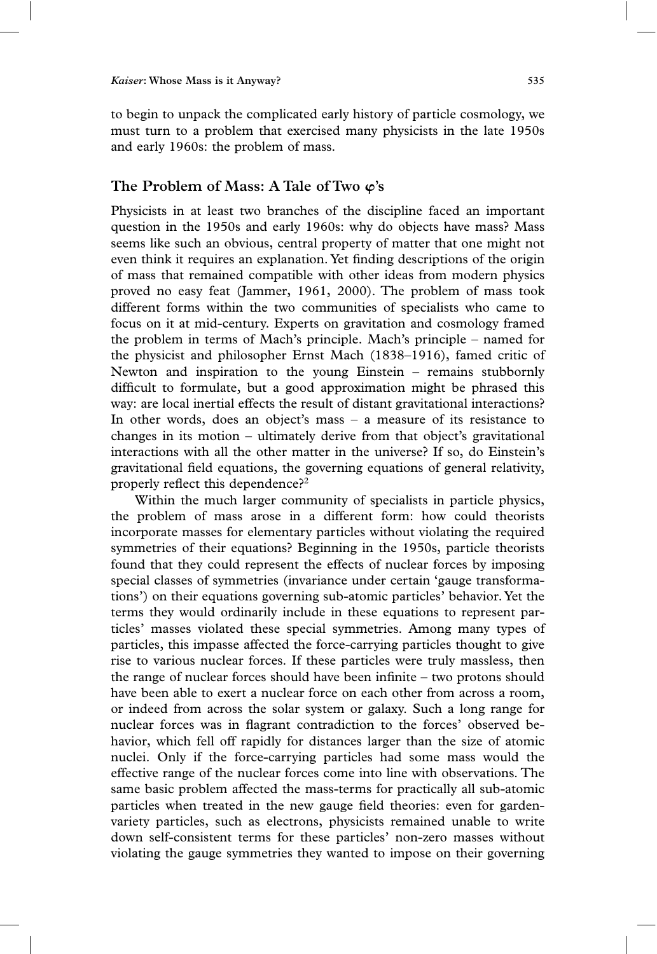to begin to unpack the complicated early history of particle cosmology, we must turn to a problem that exercised many physicists in the late 1950s and early 1960s: the problem of mass.

# The Problem of Mass: A Tale of Two  $\varphi$ 's

Physicists in at least two branches of the discipline faced an important question in the 1950s and early 1960s: why do objects have mass? Mass seems like such an obvious, central property of matter that one might not even think it requires an explanation. Yet finding descriptions of the origin of mass that remained compatible with other ideas from modern physics proved no easy feat (Jammer, 1961, 2000). The problem of mass took different forms within the two communities of specialists who came to focus on it at mid-century. Experts on gravitation and cosmology framed the problem in terms of Mach's principle. Mach's principle – named for the physicist and philosopher Ernst Mach (1838–1916), famed critic of Newton and inspiration to the young Einstein – remains stubbornly difficult to formulate, but a good approximation might be phrased this way: are local inertial effects the result of distant gravitational interactions? In other words, does an object's mass – a measure of its resistance to changes in its motion – ultimately derive from that object's gravitational interactions with all the other matter in the universe? If so, do Einstein's gravitational field equations, the governing equations of general relativity, properly reflect this dependence?<sup>2</sup>

Within the much larger community of specialists in particle physics, the problem of mass arose in a different form: how could theorists incorporate masses for elementary particles without violating the required symmetries of their equations? Beginning in the 1950s, particle theorists found that they could represent the effects of nuclear forces by imposing special classes of symmetries (invariance under certain 'gauge transformations') on their equations governing sub-atomic particles' behavior. Yet the terms they would ordinarily include in these equations to represent particles' masses violated these special symmetries. Among many types of particles, this impasse affected the force-carrying particles thought to give rise to various nuclear forces. If these particles were truly massless, then the range of nuclear forces should have been infinite – two protons should have been able to exert a nuclear force on each other from across a room, or indeed from across the solar system or galaxy. Such a long range for nuclear forces was in flagrant contradiction to the forces' observed behavior, which fell off rapidly for distances larger than the size of atomic nuclei. Only if the force-carrying particles had some mass would the effective range of the nuclear forces come into line with observations. The same basic problem affected the mass-terms for practically all sub-atomic particles when treated in the new gauge field theories: even for gardenvariety particles, such as electrons, physicists remained unable to write down self-consistent terms for these particles' non-zero masses without violating the gauge symmetries they wanted to impose on their governing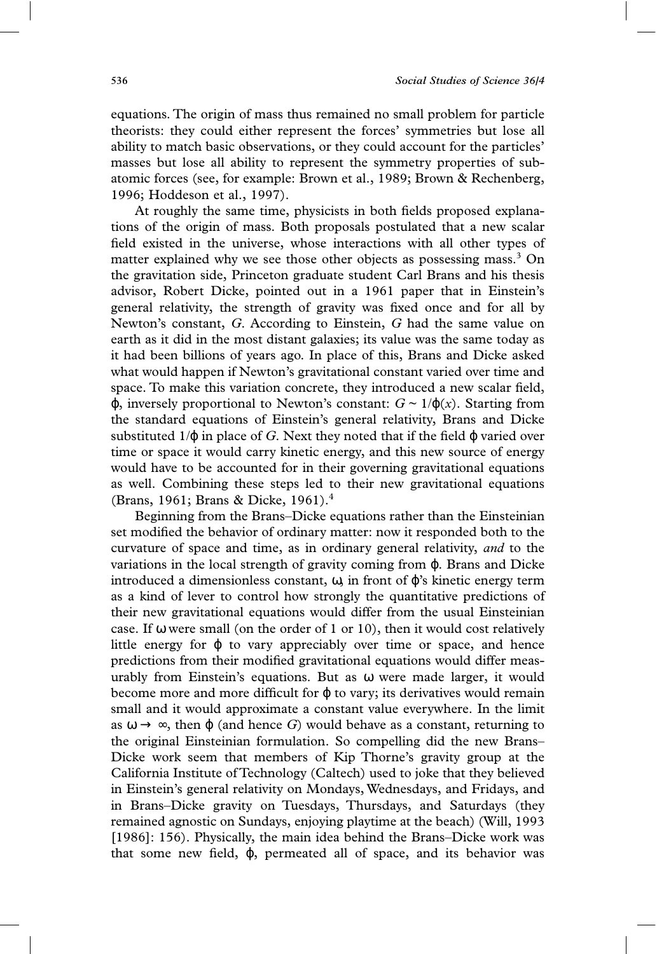equations. The origin of mass thus remained no small problem for particle theorists: they could either represent the forces' symmetries but lose all ability to match basic observations, or they could account for the particles' masses but lose all ability to represent the symmetry properties of subatomic forces (see, for example: Brown et al., 1989; Brown & Rechenberg, 1996; Hoddeson et al., 1997).

At roughly the same time, physicists in both fields proposed explanations of the origin of mass. Both proposals postulated that a new scalar field existed in the universe, whose interactions with all other types of matter explained why we see those other objects as possessing mass.3 On the gravitation side, Princeton graduate student Carl Brans and his thesis advisor, Robert Dicke, pointed out in a 1961 paper that in Einstein's general relativity, the strength of gravity was fixed once and for all by Newton's constant, *G*. According to Einstein, *G* had the same value on earth as it did in the most distant galaxies; its value was the same today as it had been billions of years ago. In place of this, Brans and Dicke asked what would happen if Newton's gravitational constant varied over time and space. To make this variation concrete, they introduced a new scalar field,  $\varphi$ , inversely proportional to Newton's constant:  $G \sim 1/\varphi(x)$ . Starting from the standard equations of Einstein's general relativity, Brans and Dicke substituted  $1/\varphi$  in place of *G*. Next they noted that if the field  $\varphi$  varied over time or space it would carry kinetic energy, and this new source of energy would have to be accounted for in their governing gravitational equations as well. Combining these steps led to their new gravitational equations (Brans, 1961; Brans & Dicke, 1961).4

Beginning from the Brans–Dicke equations rather than the Einsteinian set modified the behavior of ordinary matter: now it responded both to the curvature of space and time, as in ordinary general relativity, *and* to the variations in the local strength of gravity coming from ϕ. Brans and Dicke introduced a dimensionless constant,  $\omega$ , in front of  $\varphi$ 's kinetic energy term as a kind of lever to control how strongly the quantitative predictions of their new gravitational equations would differ from the usual Einsteinian case. If ω were small (on the order of 1 or 10), then it would cost relatively little energy for  $\varphi$  to vary appreciably over time or space, and hence predictions from their modified gravitational equations would differ measurably from Einstein's equations. But as ω were made larger, it would become more and more difficult for  $\varphi$  to vary; its derivatives would remain small and it would approximate a constant value everywhere. In the limit as  $\omega \rightarrow \infty$ , then  $\varphi$  (and hence *G*) would behave as a constant, returning to the original Einsteinian formulation. So compelling did the new Brans– Dicke work seem that members of Kip Thorne's gravity group at the California Institute of Technology (Caltech) used to joke that they believed in Einstein's general relativity on Mondays, Wednesdays, and Fridays, and in Brans–Dicke gravity on Tuesdays, Thursdays, and Saturdays (they remained agnostic on Sundays, enjoying playtime at the beach) (Will, 1993 [1986]: 156). Physically, the main idea behind the Brans–Dicke work was that some new field, ϕ, permeated all of space, and its behavior was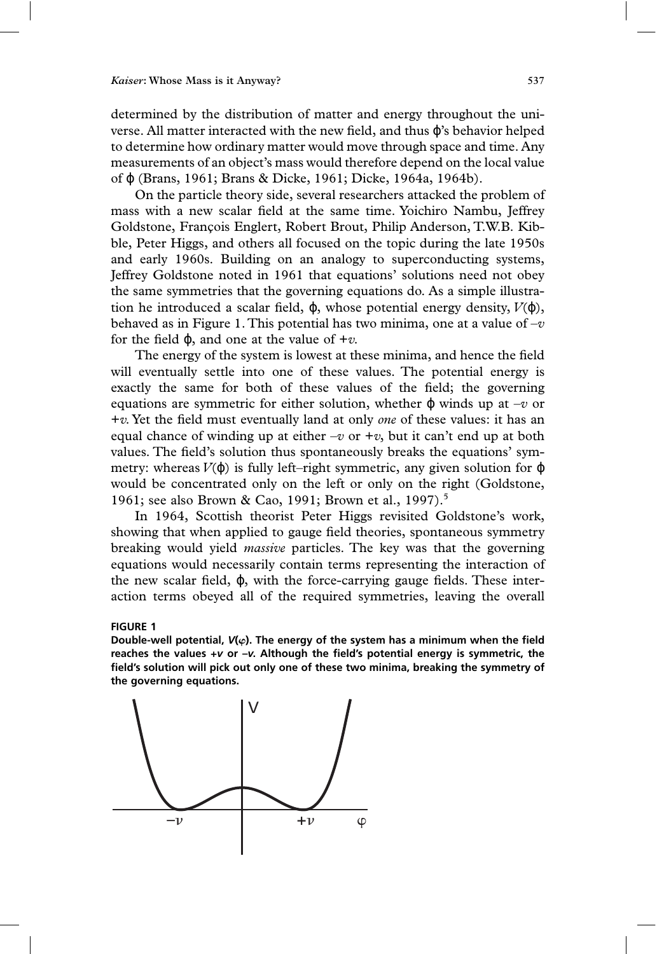determined by the distribution of matter and energy throughout the universe. All matter interacted with the new field, and thus  $\varphi$ 's behavior helped to determine how ordinary matter would move through space and time. Any measurements of an object's mass would therefore depend on the local value of ϕ (Brans, 1961; Brans & Dicke, 1961; Dicke, 1964a, 1964b).

On the particle theory side, several researchers attacked the problem of mass with a new scalar field at the same time. Yoichiro Nambu, Jeffrey Goldstone, François Englert, Robert Brout, Philip Anderson, T.W.B. Kibble, Peter Higgs, and others all focused on the topic during the late 1950s and early 1960s. Building on an analogy to superconducting systems, Jeffrey Goldstone noted in 1961 that equations' solutions need not obey the same symmetries that the governing equations do. As a simple illustration he introduced a scalar field,  $\varphi$ , whose potential energy density,  $V(\varphi)$ , behaved as in Figure 1. This potential has two minima, one at a value of –*v* for the field ϕ, and one at the value of +*v*.

The energy of the system is lowest at these minima, and hence the field will eventually settle into one of these values. The potential energy is exactly the same for both of these values of the field; the governing equations are symmetric for either solution, whether  $\varphi$  winds up at  $-\nu$  or +*v*. Yet the field must eventually land at only *one* of these values: it has an equal chance of winding up at either  $-v$  or  $+v$ , but it can't end up at both values. The field's solution thus spontaneously breaks the equations' symmetry: whereas  $V(\varphi)$  is fully left–right symmetric, any given solution for  $\varphi$ would be concentrated only on the left or only on the right (Goldstone, 1961; see also Brown & Cao, 1991; Brown et al., 1997).5

In 1964, Scottish theorist Peter Higgs revisited Goldstone's work, showing that when applied to gauge field theories, spontaneous symmetry breaking would yield *massive* particles. The key was that the governing equations would necessarily contain terms representing the interaction of the new scalar field, ϕ, with the force-carrying gauge fields. These interaction terms obeyed all of the required symmetries, leaving the overall

#### **FIGURE 1**

**Double-well potential,** *V***(**-**). The energy of the system has a minimum when the field reaches the values +***v* **or –***v***. Although the field's potential energy is symmetric, the field's solution will pick out only one of these two minima, breaking the symmetry of the governing equations.**

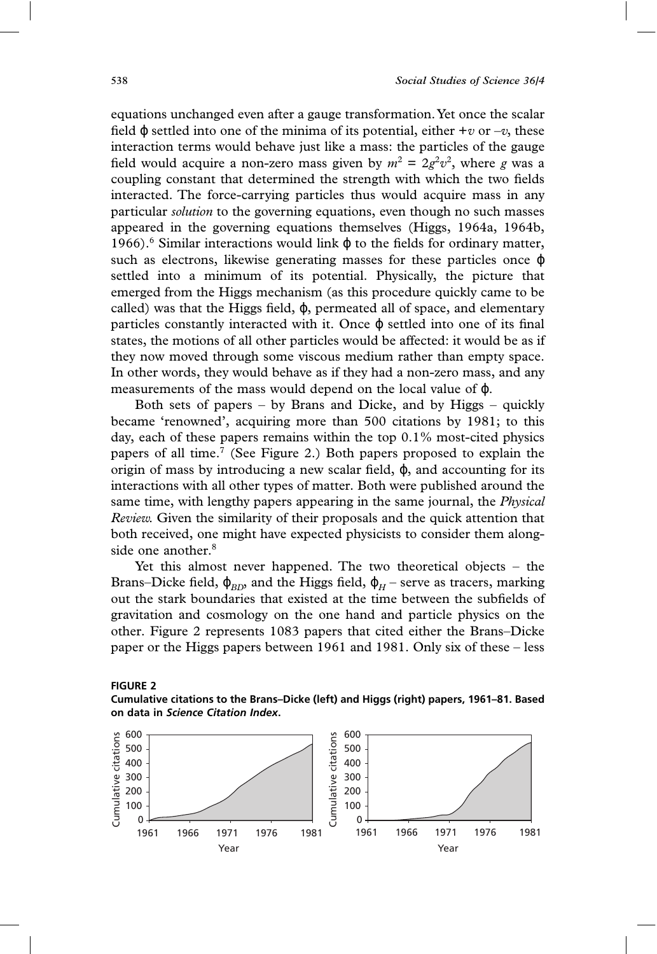equations unchanged even after a gauge transformation. Yet once the scalar field  $\varphi$  settled into one of the minima of its potential, either  $+v$  or  $-v$ , these interaction terms would behave just like a mass: the particles of the gauge field would acquire a non-zero mass given by  $m^2 = 2g^2v^2$ , where g was a coupling constant that determined the strength with which the two fields interacted. The force-carrying particles thus would acquire mass in any particular *solution* to the governing equations, even though no such masses appeared in the governing equations themselves (Higgs, 1964a, 1964b, 1966).<sup>6</sup> Similar interactions would link  $φ$  to the fields for ordinary matter, such as electrons, likewise generating masses for these particles once  $\varphi$ settled into a minimum of its potential. Physically, the picture that emerged from the Higgs mechanism (as this procedure quickly came to be called) was that the Higgs field,  $\varphi$ , permeated all of space, and elementary particles constantly interacted with it. Once ϕ settled into one of its final states, the motions of all other particles would be affected: it would be as if they now moved through some viscous medium rather than empty space. In other words, they would behave as if they had a non-zero mass, and any measurements of the mass would depend on the local value of ϕ.

Both sets of papers – by Brans and Dicke, and by Higgs – quickly became 'renowned', acquiring more than 500 citations by 1981; to this day, each of these papers remains within the top 0.1% most-cited physics papers of all time.7 (See Figure 2.) Both papers proposed to explain the origin of mass by introducing a new scalar field,  $\varphi$ , and accounting for its interactions with all other types of matter. Both were published around the same time, with lengthy papers appearing in the same journal, the *Physical Review*. Given the similarity of their proposals and the quick attention that both received, one might have expected physicists to consider them alongside one another.<sup>8</sup>

Yet this almost never happened. The two theoretical objects – the Brans–Dicke field,  $\varphi_{BD}$ , and the Higgs field,  $\varphi_H$  – serve as tracers, marking out the stark boundaries that existed at the time between the subfields of gravitation and cosmology on the one hand and particle physics on the other. Figure 2 represents 1083 papers that cited either the Brans–Dicke paper or the Higgs papers between 1961 and 1981. Only six of these – less

**FIGURE 2 Cumulative citations to the Brans–Dicke (left) and Higgs (right) papers, 1961–81. Based on data in** *Science Citation Index***.**

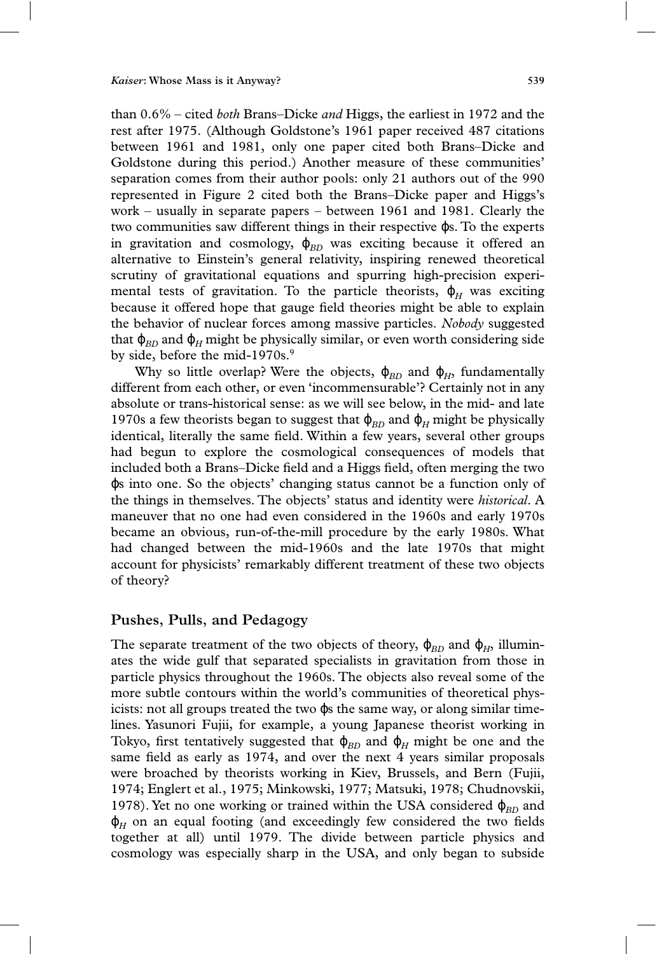than 0.6% – cited *both* Brans–Dicke *and* Higgs, the earliest in 1972 and the rest after 1975. (Although Goldstone's 1961 paper received 487 citations between 1961 and 1981, only one paper cited both Brans–Dicke and Goldstone during this period.) Another measure of these communities' separation comes from their author pools: only 21 authors out of the 990 represented in Figure 2 cited both the Brans–Dicke paper and Higgs's work – usually in separate papers – between 1961 and 1981. Clearly the two communities saw different things in their respective ϕs. To the experts in gravitation and cosmology,  $\varphi_{BD}$  was exciting because it offered an alternative to Einstein's general relativity, inspiring renewed theoretical scrutiny of gravitational equations and spurring high-precision experimental tests of gravitation. To the particle theorists,  $\varphi_H$  was exciting because it offered hope that gauge field theories might be able to explain the behavior of nuclear forces among massive particles. *Nobody* suggested that  $\varphi_{BD}$  and  $\varphi_H$  might be physically similar, or even worth considering side by side, before the mid-1970s.<sup>9</sup>

Why so little overlap? Were the objects,  $\varphi_{BD}$  and  $\varphi_{H}$ , fundamentally different from each other, or even 'incommensurable'? Certainly not in any absolute or trans-historical sense: as we will see below, in the mid- and late 1970s a few theorists began to suggest that  $\varphi_{BD}$  and  $\varphi_H$  might be physically identical, literally the same field. Within a few years, several other groups had begun to explore the cosmological consequences of models that included both a Brans–Dicke field and a Higgs field, often merging the two ϕs into one. So the objects' changing status cannot be a function only of the things in themselves. The objects' status and identity were *historical*. A maneuver that no one had even considered in the 1960s and early 1970s became an obvious, run-of-the-mill procedure by the early 1980s. What had changed between the mid-1960s and the late 1970s that might account for physicists' remarkably different treatment of these two objects of theory?

## **Pushes, Pulls, and Pedagogy**

The separate treatment of the two objects of theory,  $\varphi_{BD}$  and  $\varphi_{H}$  illuminates the wide gulf that separated specialists in gravitation from those in particle physics throughout the 1960s. The objects also reveal some of the more subtle contours within the world's communities of theoretical physicists: not all groups treated the two ϕs the same way, or along similar timelines. Yasunori Fujii, for example, a young Japanese theorist working in Tokyo, first tentatively suggested that  $\varphi_{BD}$  and  $\varphi_H$  might be one and the same field as early as 1974, and over the next 4 years similar proposals were broached by theorists working in Kiev, Brussels, and Bern (Fujii, 1974; Englert et al., 1975; Minkowski, 1977; Matsuki, 1978; Chudnovskii, 1978). Yet no one working or trained within the USA considered  $\varphi_{BD}$  and  $\varphi$ <sub>H</sub> on an equal footing (and exceedingly few considered the two fields together at all) until 1979. The divide between particle physics and cosmology was especially sharp in the USA, and only began to subside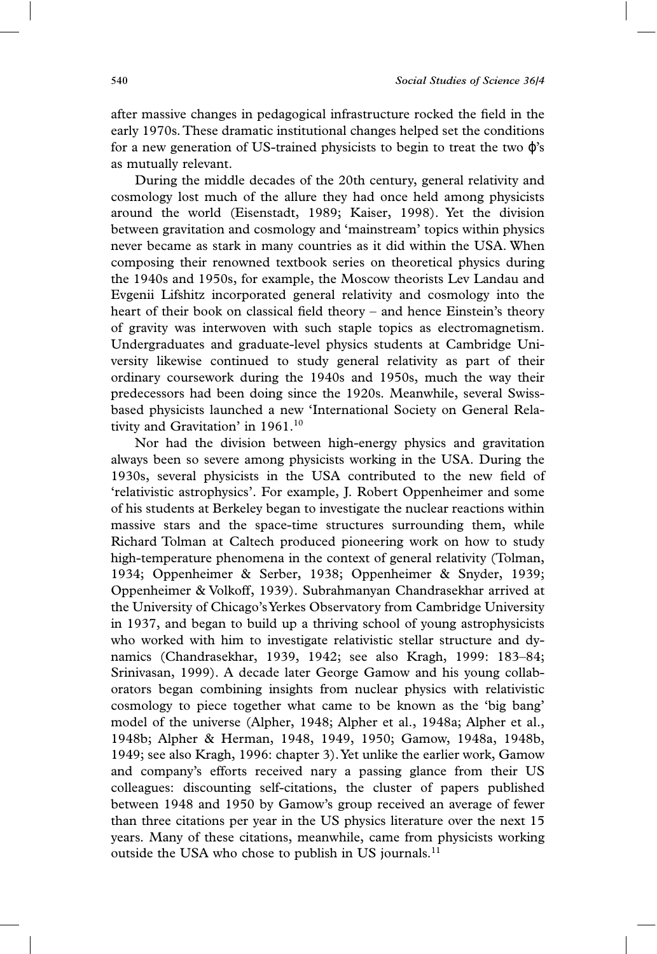after massive changes in pedagogical infrastructure rocked the field in the early 1970s. These dramatic institutional changes helped set the conditions for a new generation of US-trained physicists to begin to treat the two  $\varphi$ 's as mutually relevant.

During the middle decades of the 20th century, general relativity and cosmology lost much of the allure they had once held among physicists around the world (Eisenstadt, 1989; Kaiser, 1998). Yet the division between gravitation and cosmology and 'mainstream' topics within physics never became as stark in many countries as it did within the USA. When composing their renowned textbook series on theoretical physics during the 1940s and 1950s, for example, the Moscow theorists Lev Landau and Evgenii Lifshitz incorporated general relativity and cosmology into the heart of their book on classical field theory – and hence Einstein's theory of gravity was interwoven with such staple topics as electromagnetism. Undergraduates and graduate-level physics students at Cambridge University likewise continued to study general relativity as part of their ordinary coursework during the 1940s and 1950s, much the way their predecessors had been doing since the 1920s. Meanwhile, several Swissbased physicists launched a new 'International Society on General Relativity and Gravitation' in 1961.<sup>10</sup>

Nor had the division between high-energy physics and gravitation always been so severe among physicists working in the USA. During the 1930s, several physicists in the USA contributed to the new field of 'relativistic astrophysics'. For example, J. Robert Oppenheimer and some of his students at Berkeley began to investigate the nuclear reactions within massive stars and the space-time structures surrounding them, while Richard Tolman at Caltech produced pioneering work on how to study high-temperature phenomena in the context of general relativity (Tolman, 1934; Oppenheimer & Serber, 1938; Oppenheimer & Snyder, 1939; Oppenheimer & Volkoff, 1939). Subrahmanyan Chandrasekhar arrived at the University of Chicago's Yerkes Observatory from Cambridge University in 1937, and began to build up a thriving school of young astrophysicists who worked with him to investigate relativistic stellar structure and dynamics (Chandrasekhar, 1939, 1942; see also Kragh, 1999: 183–84; Srinivasan, 1999). A decade later George Gamow and his young collaborators began combining insights from nuclear physics with relativistic cosmology to piece together what came to be known as the 'big bang' model of the universe (Alpher, 1948; Alpher et al., 1948a; Alpher et al., 1948b; Alpher & Herman, 1948, 1949, 1950; Gamow, 1948a, 1948b, 1949; see also Kragh, 1996: chapter 3). Yet unlike the earlier work, Gamow and company's efforts received nary a passing glance from their US colleagues: discounting self-citations, the cluster of papers published between 1948 and 1950 by Gamow's group received an average of fewer than three citations per year in the US physics literature over the next 15 years. Many of these citations, meanwhile, came from physicists working outside the USA who chose to publish in US journals.<sup>11</sup>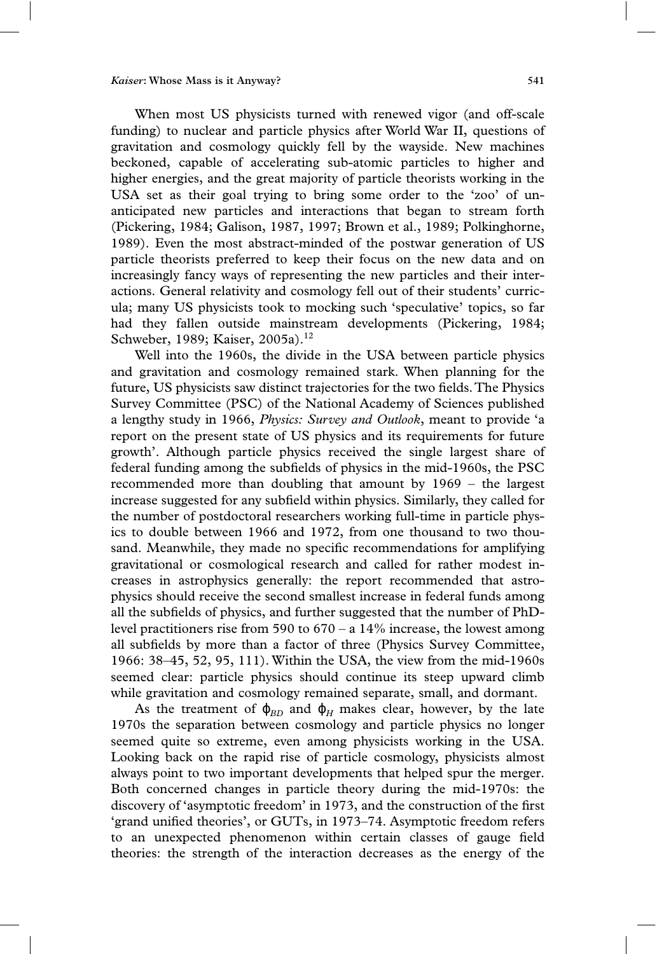When most US physicists turned with renewed vigor (and off-scale funding) to nuclear and particle physics after World War II, questions of gravitation and cosmology quickly fell by the wayside. New machines beckoned, capable of accelerating sub-atomic particles to higher and higher energies, and the great majority of particle theorists working in the USA set as their goal trying to bring some order to the 'zoo' of unanticipated new particles and interactions that began to stream forth (Pickering, 1984; Galison, 1987, 1997; Brown et al., 1989; Polkinghorne, 1989). Even the most abstract-minded of the postwar generation of US particle theorists preferred to keep their focus on the new data and on increasingly fancy ways of representing the new particles and their interactions. General relativity and cosmology fell out of their students' curricula; many US physicists took to mocking such 'speculative' topics, so far had they fallen outside mainstream developments (Pickering, 1984; Schweber, 1989; Kaiser, 2005a).<sup>12</sup>

Well into the 1960s, the divide in the USA between particle physics and gravitation and cosmology remained stark. When planning for the future, US physicists saw distinct trajectories for the two fields. The Physics Survey Committee (PSC) of the National Academy of Sciences published a lengthy study in 1966, *Physics: Survey and Outlook*, meant to provide 'a report on the present state of US physics and its requirements for future growth'. Although particle physics received the single largest share of federal funding among the subfields of physics in the mid-1960s, the PSC recommended more than doubling that amount by 1969 – the largest increase suggested for any subfield within physics. Similarly, they called for the number of postdoctoral researchers working full-time in particle physics to double between 1966 and 1972, from one thousand to two thousand. Meanwhile, they made no specific recommendations for amplifying gravitational or cosmological research and called for rather modest increases in astrophysics generally: the report recommended that astrophysics should receive the second smallest increase in federal funds among all the subfields of physics, and further suggested that the number of PhDlevel practitioners rise from 590 to 670 – a 14% increase, the lowest among all subfields by more than a factor of three (Physics Survey Committee, 1966: 38–45, 52, 95, 111). Within the USA, the view from the mid-1960s seemed clear: particle physics should continue its steep upward climb while gravitation and cosmology remained separate, small, and dormant.

As the treatment of  $\varphi_{BD}$  and  $\varphi_H$  makes clear, however, by the late 1970s the separation between cosmology and particle physics no longer seemed quite so extreme, even among physicists working in the USA. Looking back on the rapid rise of particle cosmology, physicists almost always point to two important developments that helped spur the merger. Both concerned changes in particle theory during the mid-1970s: the discovery of 'asymptotic freedom' in 1973, and the construction of the first 'grand unified theories', or GUTs, in 1973–74. Asymptotic freedom refers to an unexpected phenomenon within certain classes of gauge field theories: the strength of the interaction decreases as the energy of the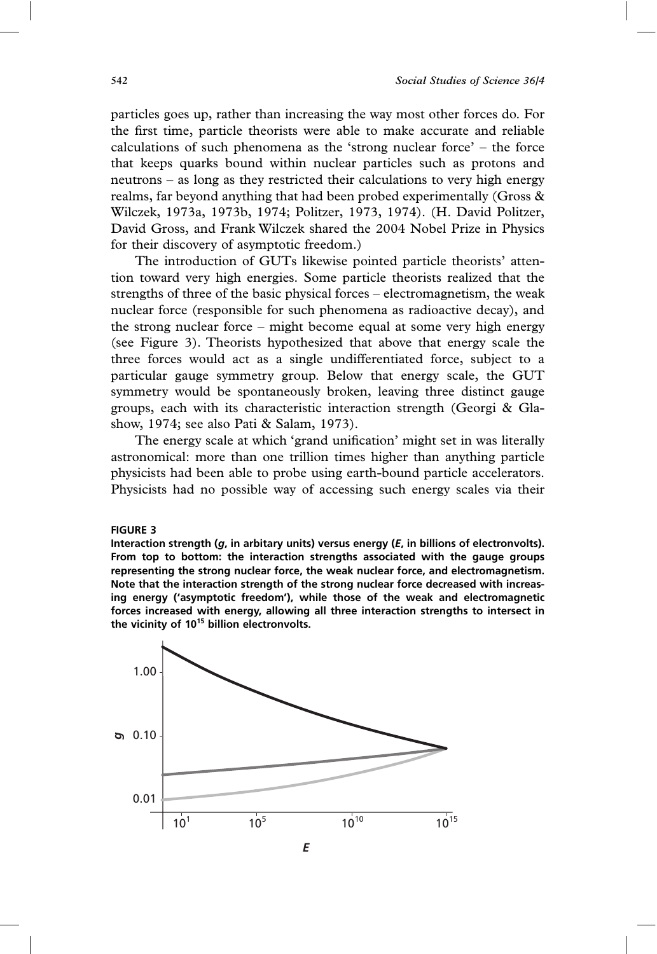particles goes up, rather than increasing the way most other forces do. For the first time, particle theorists were able to make accurate and reliable calculations of such phenomena as the 'strong nuclear force' – the force that keeps quarks bound within nuclear particles such as protons and neutrons – as long as they restricted their calculations to very high energy realms, far beyond anything that had been probed experimentally (Gross & Wilczek, 1973a, 1973b, 1974; Politzer, 1973, 1974). (H. David Politzer, David Gross, and Frank Wilczek shared the 2004 Nobel Prize in Physics for their discovery of asymptotic freedom.)

The introduction of GUTs likewise pointed particle theorists' attention toward very high energies. Some particle theorists realized that the strengths of three of the basic physical forces – electromagnetism, the weak nuclear force (responsible for such phenomena as radioactive decay), and the strong nuclear force – might become equal at some very high energy (see Figure 3). Theorists hypothesized that above that energy scale the three forces would act as a single undifferentiated force, subject to a particular gauge symmetry group. Below that energy scale, the GUT symmetry would be spontaneously broken, leaving three distinct gauge groups, each with its characteristic interaction strength (Georgi & Glashow, 1974; see also Pati & Salam, 1973).

The energy scale at which 'grand unification' might set in was literally astronomical: more than one trillion times higher than anything particle physicists had been able to probe using earth-bound particle accelerators. Physicists had no possible way of accessing such energy scales via their

#### **FIGURE 3**

**Interaction strength (***g***, in arbitary units) versus energy (***E***, in billions of electronvolts). From top to bottom: the interaction strengths associated with the gauge groups representing the strong nuclear force, the weak nuclear force, and electromagnetism. Note that the interaction strength of the strong nuclear force decreased with increasing energy ('asymptotic freedom'), while those of the weak and electromagnetic forces increased with energy, allowing all three interaction strengths to intersect in the vicinity of 1015 billion electronvolts.**

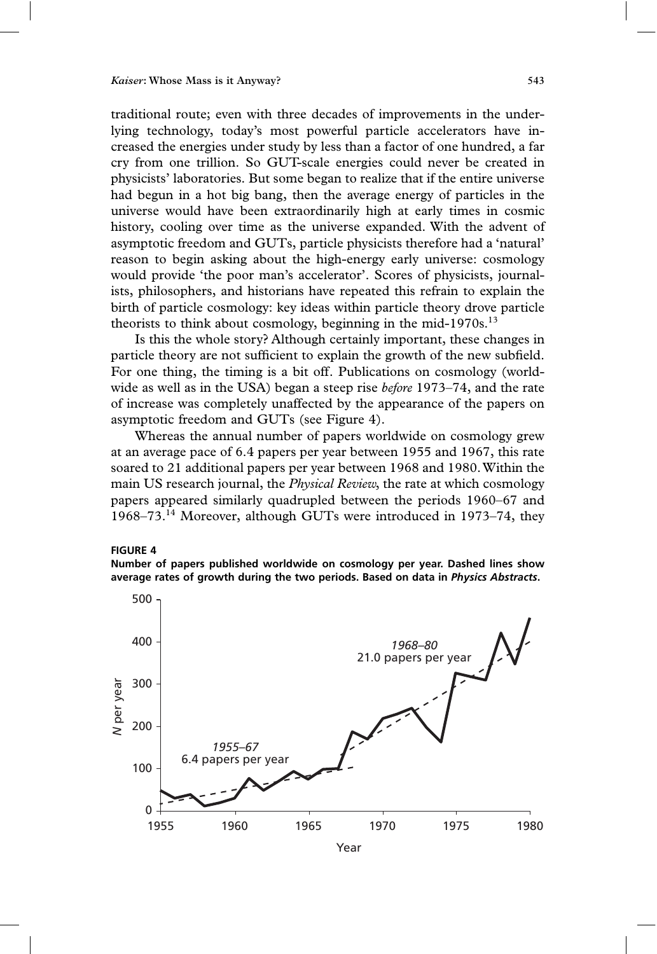traditional route; even with three decades of improvements in the underlying technology, today's most powerful particle accelerators have increased the energies under study by less than a factor of one hundred, a far cry from one trillion. So GUT-scale energies could never be created in physicists' laboratories. But some began to realize that if the entire universe had begun in a hot big bang, then the average energy of particles in the universe would have been extraordinarily high at early times in cosmic history, cooling over time as the universe expanded. With the advent of asymptotic freedom and GUTs, particle physicists therefore had a 'natural' reason to begin asking about the high-energy early universe: cosmology would provide 'the poor man's accelerator'. Scores of physicists, journalists, philosophers, and historians have repeated this refrain to explain the birth of particle cosmology: key ideas within particle theory drove particle theorists to think about cosmology, beginning in the mid-1970s.<sup>13</sup>

Is this the whole story? Although certainly important, these changes in particle theory are not sufficient to explain the growth of the new subfield. For one thing, the timing is a bit off. Publications on cosmology (worldwide as well as in the USA) began a steep rise *before* 1973–74, and the rate of increase was completely unaffected by the appearance of the papers on asymptotic freedom and GUTs (see Figure 4).

Whereas the annual number of papers worldwide on cosmology grew at an average pace of 6.4 papers per year between 1955 and 1967, this rate soared to 21 additional papers per year between 1968 and 1980. Within the main US research journal, the *Physical Review*, the rate at which cosmology papers appeared similarly quadrupled between the periods 1960–67 and 1968–73.14 Moreover, although GUTs were introduced in 1973–74, they

#### **FIGURE 4**

**Number of papers published worldwide on cosmology per year. Dashed lines show average rates of growth during the two periods. Based on data in** *Physics Abstracts***.**

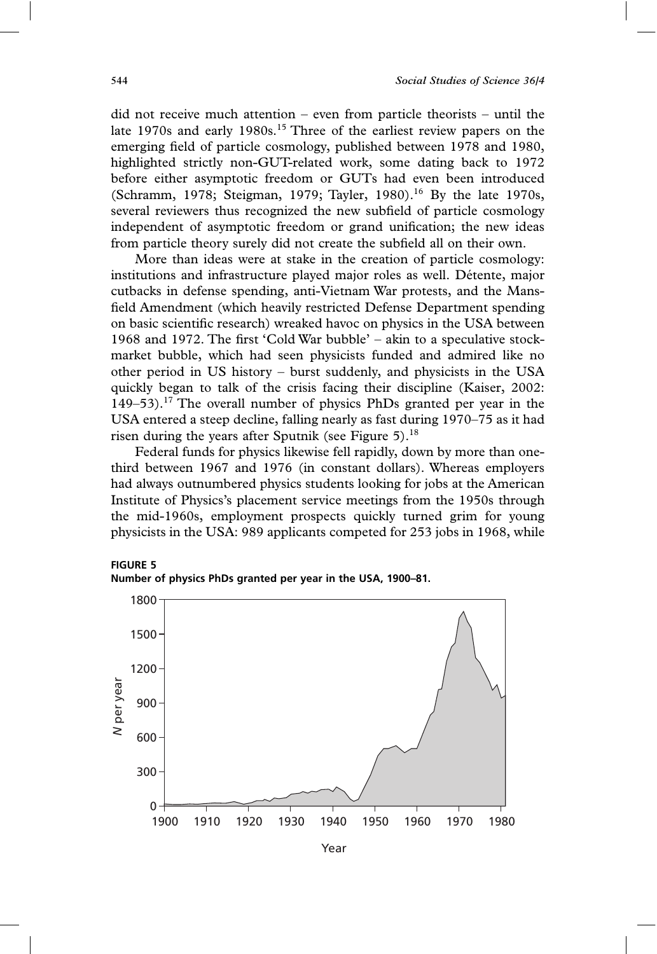did not receive much attention – even from particle theorists – until the late 1970s and early 1980s.<sup>15</sup> Three of the earliest review papers on the emerging field of particle cosmology, published between 1978 and 1980, highlighted strictly non-GUT-related work, some dating back to 1972 before either asymptotic freedom or GUTs had even been introduced (Schramm, 1978; Steigman, 1979; Tayler, 1980).<sup>16</sup> By the late 1970s, several reviewers thus recognized the new subfield of particle cosmology independent of asymptotic freedom or grand unification; the new ideas from particle theory surely did not create the subfield all on their own.

More than ideas were at stake in the creation of particle cosmology: institutions and infrastructure played major roles as well. Détente, major cutbacks in defense spending, anti-Vietnam War protests, and the Mansfield Amendment (which heavily restricted Defense Department spending on basic scientific research) wreaked havoc on physics in the USA between 1968 and 1972. The first 'Cold War bubble' – akin to a speculative stockmarket bubble, which had seen physicists funded and admired like no other period in US history – burst suddenly, and physicists in the USA quickly began to talk of the crisis facing their discipline (Kaiser, 2002: 149–53).17 The overall number of physics PhDs granted per year in the USA entered a steep decline, falling nearly as fast during 1970–75 as it had risen during the years after Sputnik (see Figure 5).<sup>18</sup>

Federal funds for physics likewise fell rapidly, down by more than onethird between 1967 and 1976 (in constant dollars). Whereas employers had always outnumbered physics students looking for jobs at the American Institute of Physics's placement service meetings from the 1950s through the mid-1960s, employment prospects quickly turned grim for young physicists in the USA: 989 applicants competed for 253 jobs in 1968, while



### **FIGURE 5 Number of physics PhDs granted per year in the USA, 1900–81.**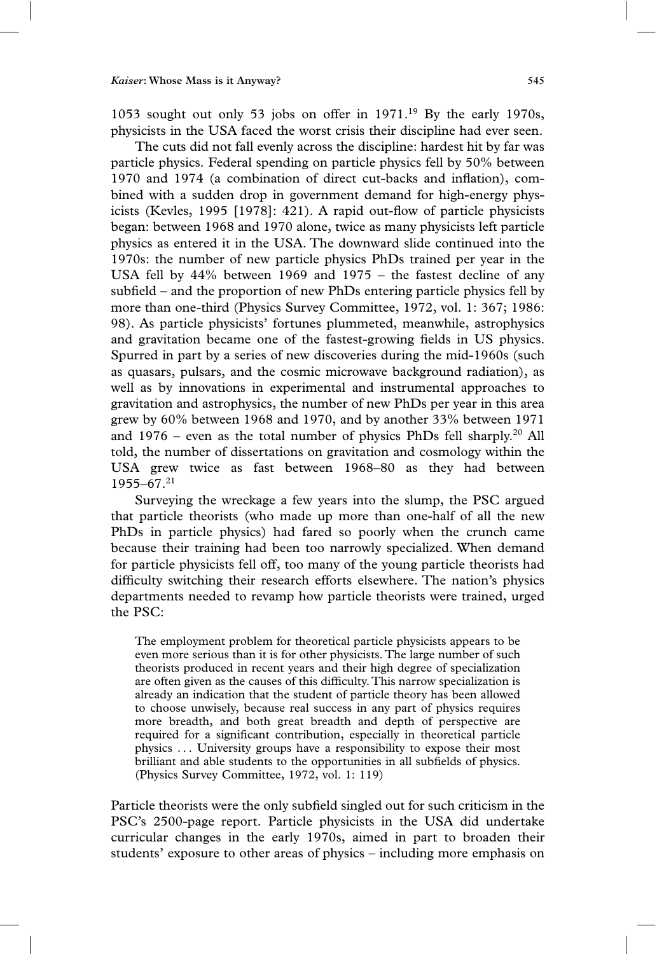1053 sought out only 53 jobs on offer in 1971.19 By the early 1970s, physicists in the USA faced the worst crisis their discipline had ever seen.

The cuts did not fall evenly across the discipline: hardest hit by far was particle physics. Federal spending on particle physics fell by 50% between 1970 and 1974 (a combination of direct cut-backs and inflation), combined with a sudden drop in government demand for high-energy physicists (Kevles, 1995 [1978]: 421). A rapid out-flow of particle physicists began: between 1968 and 1970 alone, twice as many physicists left particle physics as entered it in the USA. The downward slide continued into the 1970s: the number of new particle physics PhDs trained per year in the USA fell by 44% between 1969 and 1975 – the fastest decline of any subfield – and the proportion of new PhDs entering particle physics fell by more than one-third (Physics Survey Committee, 1972, vol. 1: 367; 1986: 98). As particle physicists' fortunes plummeted, meanwhile, astrophysics and gravitation became one of the fastest-growing fields in US physics. Spurred in part by a series of new discoveries during the mid-1960s (such as quasars, pulsars, and the cosmic microwave background radiation), as well as by innovations in experimental and instrumental approaches to gravitation and astrophysics, the number of new PhDs per year in this area grew by 60% between 1968 and 1970, and by another 33% between 1971 and  $1976$  – even as the total number of physics PhDs fell sharply.<sup>20</sup> All told, the number of dissertations on gravitation and cosmology within the USA grew twice as fast between 1968–80 as they had between  $1955 - 67.<sup>21</sup>$ 

Surveying the wreckage a few years into the slump, the PSC argued that particle theorists (who made up more than one-half of all the new PhDs in particle physics) had fared so poorly when the crunch came because their training had been too narrowly specialized. When demand for particle physicists fell off, too many of the young particle theorists had difficulty switching their research efforts elsewhere. The nation's physics departments needed to revamp how particle theorists were trained, urged the PSC:

The employment problem for theoretical particle physicists appears to be even more serious than it is for other physicists. The large number of such theorists produced in recent years and their high degree of specialization are often given as the causes of this difficulty. This narrow specialization is already an indication that the student of particle theory has been allowed to choose unwisely, because real success in any part of physics requires more breadth, and both great breadth and depth of perspective are required for a significant contribution, especially in theoretical particle physics . . . University groups have a responsibility to expose their most brilliant and able students to the opportunities in all subfields of physics. (Physics Survey Committee, 1972, vol. 1: 119)

Particle theorists were the only subfield singled out for such criticism in the PSC's 2500-page report. Particle physicists in the USA did undertake curricular changes in the early 1970s, aimed in part to broaden their students' exposure to other areas of physics – including more emphasis on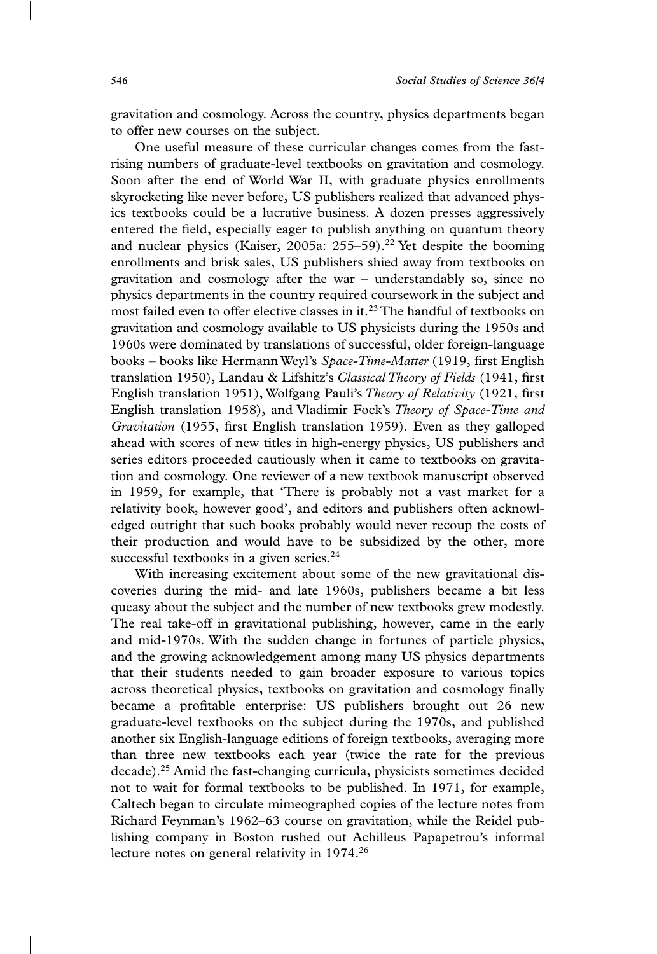gravitation and cosmology. Across the country, physics departments began to offer new courses on the subject.

One useful measure of these curricular changes comes from the fastrising numbers of graduate-level textbooks on gravitation and cosmology. Soon after the end of World War II, with graduate physics enrollments skyrocketing like never before, US publishers realized that advanced physics textbooks could be a lucrative business. A dozen presses aggressively entered the field, especially eager to publish anything on quantum theory and nuclear physics (Kaiser, 2005a:  $255-59$ ).<sup>22</sup> Yet despite the booming enrollments and brisk sales, US publishers shied away from textbooks on gravitation and cosmology after the war – understandably so, since no physics departments in the country required coursework in the subject and most failed even to offer elective classes in it.<sup>23</sup>The handful of textbooks on gravitation and cosmology available to US physicists during the 1950s and 1960s were dominated by translations of successful, older foreign-language books – books like Hermann Weyl's *Space-Time-Matter* (1919, first English translation 1950), Landau & Lifshitz's *Classical Theory of Fields* (1941, first English translation 1951), Wolfgang Pauli's *Theory of Relativity* (1921, first English translation 1958), and Vladimir Fock's *Theory of Space-Time and Gravitation* (1955, first English translation 1959). Even as they galloped ahead with scores of new titles in high-energy physics, US publishers and series editors proceeded cautiously when it came to textbooks on gravitation and cosmology. One reviewer of a new textbook manuscript observed in 1959, for example, that 'There is probably not a vast market for a relativity book, however good', and editors and publishers often acknowledged outright that such books probably would never recoup the costs of their production and would have to be subsidized by the other, more successful textbooks in a given series. $24$ 

With increasing excitement about some of the new gravitational discoveries during the mid- and late 1960s, publishers became a bit less queasy about the subject and the number of new textbooks grew modestly. The real take-off in gravitational publishing, however, came in the early and mid-1970s. With the sudden change in fortunes of particle physics, and the growing acknowledgement among many US physics departments that their students needed to gain broader exposure to various topics across theoretical physics, textbooks on gravitation and cosmology finally became a profitable enterprise: US publishers brought out 26 new graduate-level textbooks on the subject during the 1970s, and published another six English-language editions of foreign textbooks, averaging more than three new textbooks each year (twice the rate for the previous decade).25 Amid the fast-changing curricula, physicists sometimes decided not to wait for formal textbooks to be published. In 1971, for example, Caltech began to circulate mimeographed copies of the lecture notes from Richard Feynman's 1962–63 course on gravitation, while the Reidel publishing company in Boston rushed out Achilleus Papapetrou's informal lecture notes on general relativity in 1974.<sup>26</sup>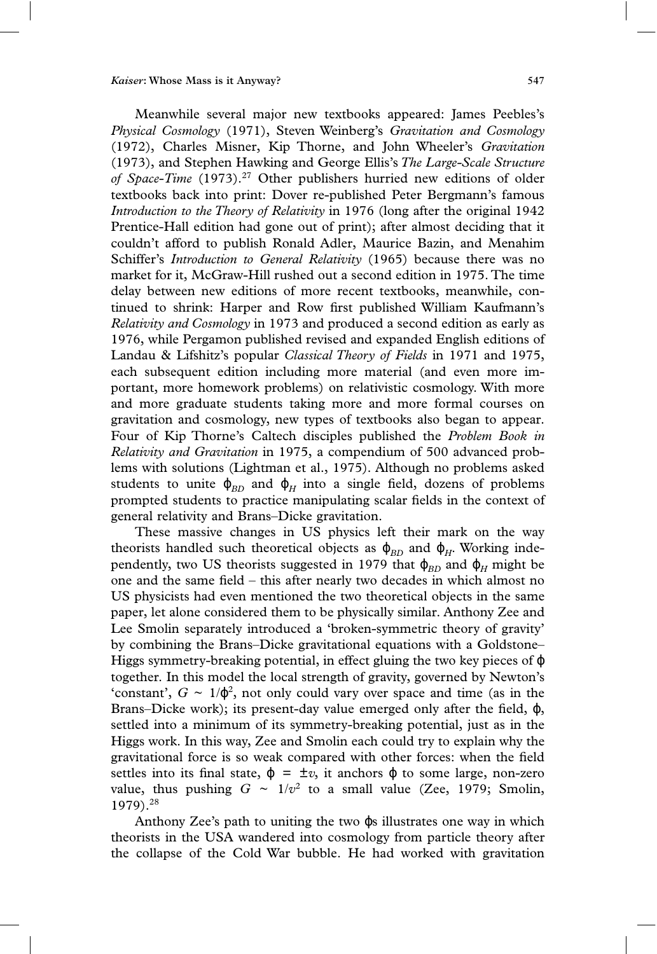Meanwhile several major new textbooks appeared: James Peebles's *Physical Cosmology* (1971), Steven Weinberg's *Gravitation and Cosmology* (1972), Charles Misner, Kip Thorne, and John Wheeler's *Gravitation* (1973), and Stephen Hawking and George Ellis's *The Large-Scale Structure of Space-Time* (1973).<sup>27</sup> Other publishers hurried new editions of older textbooks back into print: Dover re-published Peter Bergmann's famous *Introduction to the Theory of Relativity* in 1976 (long after the original 1942 Prentice-Hall edition had gone out of print); after almost deciding that it couldn't afford to publish Ronald Adler, Maurice Bazin, and Menahim Schiffer's *Introduction to General Relativity* (1965) because there was no market for it, McGraw-Hill rushed out a second edition in 1975. The time delay between new editions of more recent textbooks, meanwhile, continued to shrink: Harper and Row first published William Kaufmann's *Relativity and Cosmology* in 1973 and produced a second edition as early as 1976, while Pergamon published revised and expanded English editions of Landau & Lifshitz's popular *Classical Theory of Fields* in 1971 and 1975, each subsequent edition including more material (and even more important, more homework problems) on relativistic cosmology. With more and more graduate students taking more and more formal courses on gravitation and cosmology, new types of textbooks also began to appear. Four of Kip Thorne's Caltech disciples published the *Problem Book in Relativity and Gravitation* in 1975, a compendium of 500 advanced problems with solutions (Lightman et al., 1975). Although no problems asked students to unite  $\varphi_{BD}$  and  $\varphi_H$  into a single field, dozens of problems prompted students to practice manipulating scalar fields in the context of general relativity and Brans–Dicke gravitation.

These massive changes in US physics left their mark on the way theorists handled such theoretical objects as  $\varphi_{BD}$  and  $\varphi_{H}$ . Working independently, two US theorists suggested in 1979 that  $\varphi_{BD}$  and  $\varphi_H$  might be one and the same field – this after nearly two decades in which almost no US physicists had even mentioned the two theoretical objects in the same paper, let alone considered them to be physically similar. Anthony Zee and Lee Smolin separately introduced a 'broken-symmetric theory of gravity' by combining the Brans–Dicke gravitational equations with a Goldstone– Higgs symmetry-breaking potential, in effect gluing the two key pieces of  $\varphi$ together. In this model the local strength of gravity, governed by Newton's 'constant',  $G \sim 1/\varphi^2$ , not only could vary over space and time (as in the Brans–Dicke work); its present-day value emerged only after the field,  $\varphi$ , settled into a minimum of its symmetry-breaking potential, just as in the Higgs work. In this way, Zee and Smolin each could try to explain why the gravitational force is so weak compared with other forces: when the field settles into its final state,  $\varphi = \pm v$ , it anchors  $\varphi$  to some large, non-zero value, thus pushing  $G \sim 1/v^2$  to a small value (Zee, 1979; Smolin, 1979).28

Anthony Zee's path to uniting the two  $\varphi$ s illustrates one way in which theorists in the USA wandered into cosmology from particle theory after the collapse of the Cold War bubble. He had worked with gravitation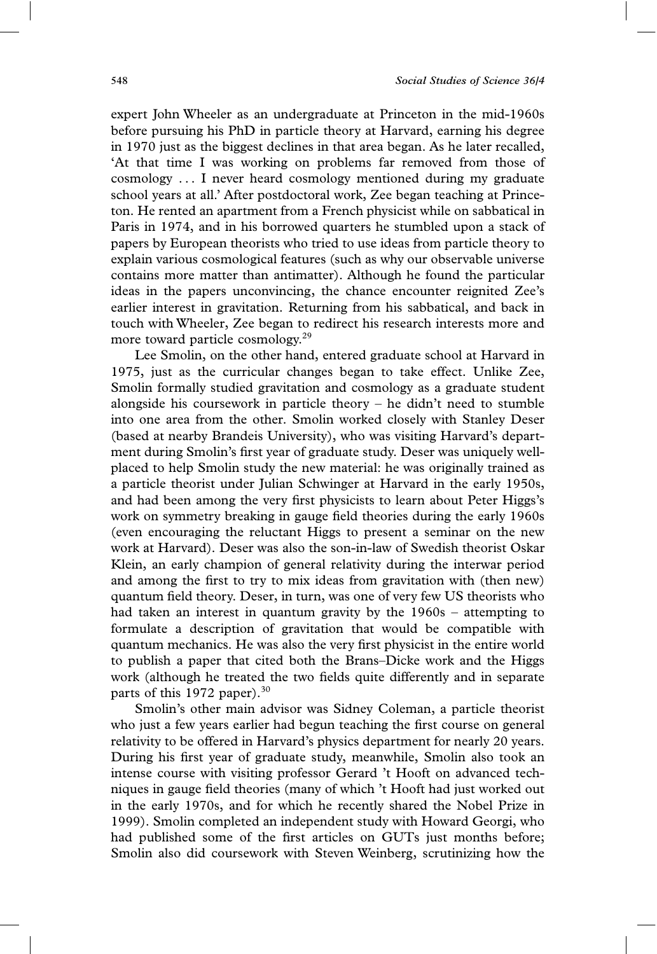expert John Wheeler as an undergraduate at Princeton in the mid-1960s before pursuing his PhD in particle theory at Harvard, earning his degree in 1970 just as the biggest declines in that area began. As he later recalled, 'At that time I was working on problems far removed from those of cosmology . . . I never heard cosmology mentioned during my graduate school years at all.' After postdoctoral work, Zee began teaching at Princeton. He rented an apartment from a French physicist while on sabbatical in Paris in 1974, and in his borrowed quarters he stumbled upon a stack of papers by European theorists who tried to use ideas from particle theory to explain various cosmological features (such as why our observable universe contains more matter than antimatter). Although he found the particular ideas in the papers unconvincing, the chance encounter reignited Zee's earlier interest in gravitation. Returning from his sabbatical, and back in touch with Wheeler, Zee began to redirect his research interests more and more toward particle cosmology.<sup>29</sup>

Lee Smolin, on the other hand, entered graduate school at Harvard in 1975, just as the curricular changes began to take effect. Unlike Zee, Smolin formally studied gravitation and cosmology as a graduate student alongside his coursework in particle theory  $-$  he didn't need to stumble into one area from the other. Smolin worked closely with Stanley Deser (based at nearby Brandeis University), who was visiting Harvard's department during Smolin's first year of graduate study. Deser was uniquely wellplaced to help Smolin study the new material: he was originally trained as a particle theorist under Julian Schwinger at Harvard in the early 1950s, and had been among the very first physicists to learn about Peter Higgs's work on symmetry breaking in gauge field theories during the early 1960s (even encouraging the reluctant Higgs to present a seminar on the new work at Harvard). Deser was also the son-in-law of Swedish theorist Oskar Klein, an early champion of general relativity during the interwar period and among the first to try to mix ideas from gravitation with (then new) quantum field theory. Deser, in turn, was one of very few US theorists who had taken an interest in quantum gravity by the 1960s – attempting to formulate a description of gravitation that would be compatible with quantum mechanics. He was also the very first physicist in the entire world to publish a paper that cited both the Brans–Dicke work and the Higgs work (although he treated the two fields quite differently and in separate parts of this 1972 paper).<sup>30</sup>

Smolin's other main advisor was Sidney Coleman, a particle theorist who just a few years earlier had begun teaching the first course on general relativity to be offered in Harvard's physics department for nearly 20 years. During his first year of graduate study, meanwhile, Smolin also took an intense course with visiting professor Gerard 't Hooft on advanced techniques in gauge field theories (many of which 't Hooft had just worked out in the early 1970s, and for which he recently shared the Nobel Prize in 1999). Smolin completed an independent study with Howard Georgi, who had published some of the first articles on GUTs just months before; Smolin also did coursework with Steven Weinberg, scrutinizing how the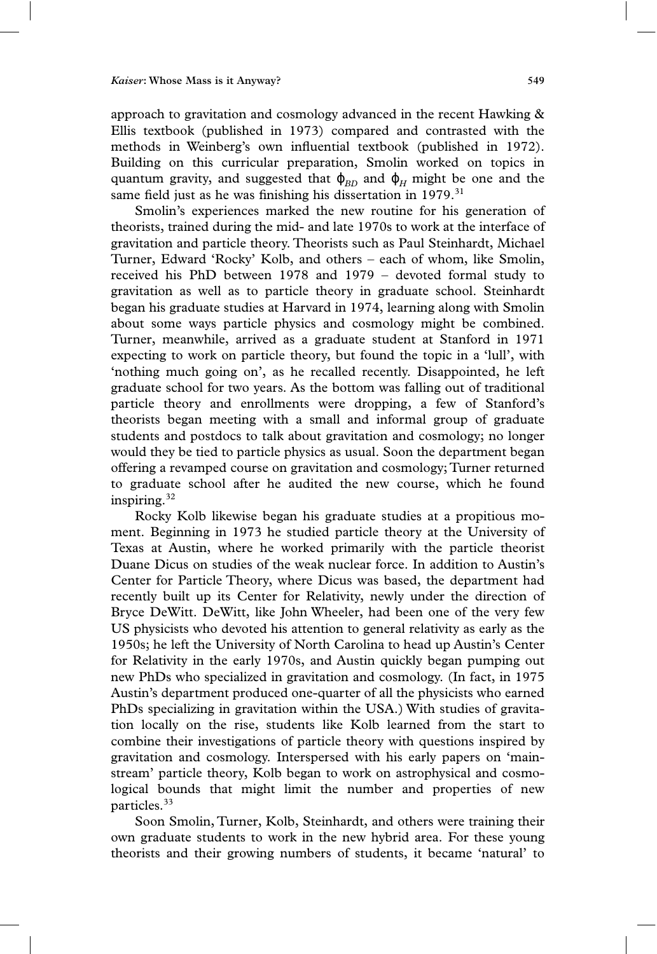approach to gravitation and cosmology advanced in the recent Hawking & Ellis textbook (published in 1973) compared and contrasted with the methods in Weinberg's own influential textbook (published in 1972). Building on this curricular preparation, Smolin worked on topics in quantum gravity, and suggested that  $\varphi_{BD}$  and  $\varphi_H$  might be one and the same field just as he was finishing his dissertation in 1979.<sup>31</sup>

Smolin's experiences marked the new routine for his generation of theorists, trained during the mid- and late 1970s to work at the interface of gravitation and particle theory. Theorists such as Paul Steinhardt, Michael Turner, Edward 'Rocky' Kolb, and others – each of whom, like Smolin, received his PhD between 1978 and 1979 – devoted formal study to gravitation as well as to particle theory in graduate school. Steinhardt began his graduate studies at Harvard in 1974, learning along with Smolin about some ways particle physics and cosmology might be combined. Turner, meanwhile, arrived as a graduate student at Stanford in 1971 expecting to work on particle theory, but found the topic in a 'lull', with 'nothing much going on', as he recalled recently. Disappointed, he left graduate school for two years. As the bottom was falling out of traditional particle theory and enrollments were dropping, a few of Stanford's theorists began meeting with a small and informal group of graduate students and postdocs to talk about gravitation and cosmology; no longer would they be tied to particle physics as usual. Soon the department began offering a revamped course on gravitation and cosmology; Turner returned to graduate school after he audited the new course, which he found inspiring.32

Rocky Kolb likewise began his graduate studies at a propitious moment. Beginning in 1973 he studied particle theory at the University of Texas at Austin, where he worked primarily with the particle theorist Duane Dicus on studies of the weak nuclear force. In addition to Austin's Center for Particle Theory, where Dicus was based, the department had recently built up its Center for Relativity, newly under the direction of Bryce DeWitt. DeWitt, like John Wheeler, had been one of the very few US physicists who devoted his attention to general relativity as early as the 1950s; he left the University of North Carolina to head up Austin's Center for Relativity in the early 1970s, and Austin quickly began pumping out new PhDs who specialized in gravitation and cosmology. (In fact, in 1975 Austin's department produced one-quarter of all the physicists who earned PhDs specializing in gravitation within the USA.) With studies of gravitation locally on the rise, students like Kolb learned from the start to combine their investigations of particle theory with questions inspired by gravitation and cosmology. Interspersed with his early papers on 'mainstream' particle theory, Kolb began to work on astrophysical and cosmological bounds that might limit the number and properties of new particles.33

Soon Smolin, Turner, Kolb, Steinhardt, and others were training their own graduate students to work in the new hybrid area. For these young theorists and their growing numbers of students, it became 'natural' to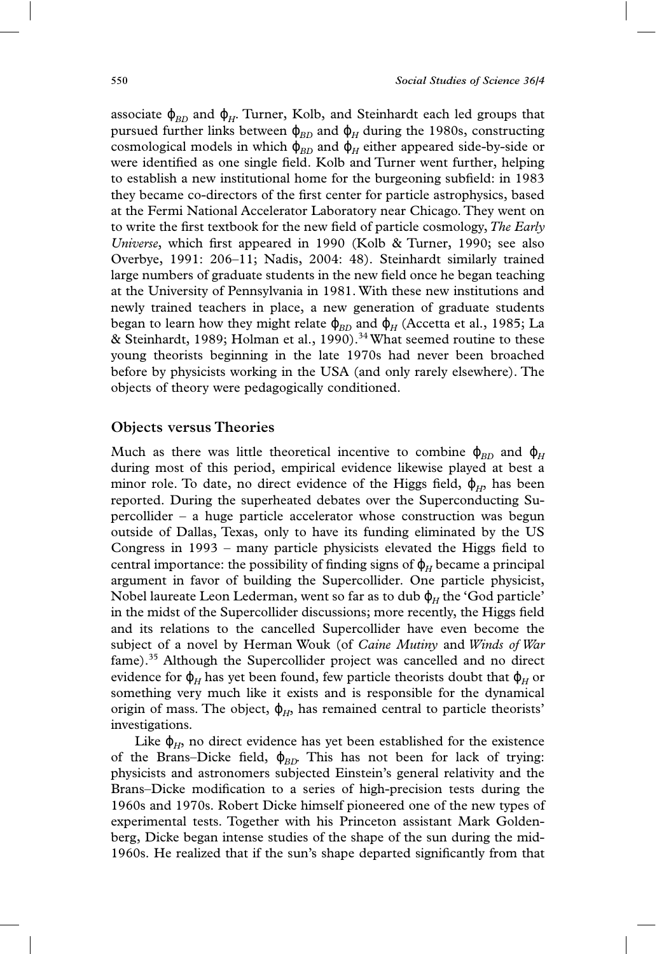associate  $\varphi_{BD}$  and  $\varphi_{H}$ . Turner, Kolb, and Steinhardt each led groups that pursued further links between  $\varphi_{BD}$  and  $\varphi_H$  during the 1980s, constructing cosmological models in which  $\varphi_{BD}$  and  $\varphi_H$  either appeared side-by-side or were identified as one single field. Kolb and Turner went further, helping to establish a new institutional home for the burgeoning subfield: in 1983 they became co-directors of the first center for particle astrophysics, based at the Fermi National Accelerator Laboratory near Chicago. They went on to write the first textbook for the new field of particle cosmology, *The Early Universe*, which first appeared in 1990 (Kolb & Turner, 1990; see also Overbye, 1991: 206–11; Nadis, 2004: 48). Steinhardt similarly trained large numbers of graduate students in the new field once he began teaching at the University of Pennsylvania in 1981. With these new institutions and newly trained teachers in place, a new generation of graduate students began to learn how they might relate  $\varphi_{BD}$  and  $\varphi_H$  (Accetta et al., 1985; La & Steinhardt, 1989; Holman et al., 1990).<sup>34</sup> What seemed routine to these young theorists beginning in the late 1970s had never been broached before by physicists working in the USA (and only rarely elsewhere). The objects of theory were pedagogically conditioned.

# **Objects versus Theories**

Much as there was little theoretical incentive to combine  $\varphi_{BD}$  and  $\varphi_H$ during most of this period, empirical evidence likewise played at best a minor role. To date, no direct evidence of the Higgs field,  $\varphi$ <sub>*H*</sub>, has been reported. During the superheated debates over the Superconducting Supercollider – a huge particle accelerator whose construction was begun outside of Dallas, Texas, only to have its funding eliminated by the US Congress in 1993 – many particle physicists elevated the Higgs field to central importance: the possibility of finding signs of  $\varphi$ <sub>H</sub> became a principal argument in favor of building the Supercollider. One particle physicist, Nobel laureate Leon Lederman, went so far as to dub ϕ*<sup>H</sup>* the 'God particle' in the midst of the Supercollider discussions; more recently, the Higgs field and its relations to the cancelled Supercollider have even become the subject of a novel by Herman Wouk (of *Caine Mutiny* and *Winds of War* fame).35 Although the Supercollider project was cancelled and no direct evidence for  $\varphi$ <sup>*H*</sup> has yet been found, few particle theorists doubt that  $\varphi$ <sup>*H*</sup> or something very much like it exists and is responsible for the dynamical origin of mass. The object,  $\varphi$ <sub>H</sub>, has remained central to particle theorists' investigations.

Like  $\varphi$ <sub>H</sub>, no direct evidence has yet been established for the existence of the Brans–Dicke field, ϕ*BD*. This has not been for lack of trying: physicists and astronomers subjected Einstein's general relativity and the Brans–Dicke modification to a series of high-precision tests during the 1960s and 1970s. Robert Dicke himself pioneered one of the new types of experimental tests. Together with his Princeton assistant Mark Goldenberg, Dicke began intense studies of the shape of the sun during the mid-1960s. He realized that if the sun's shape departed significantly from that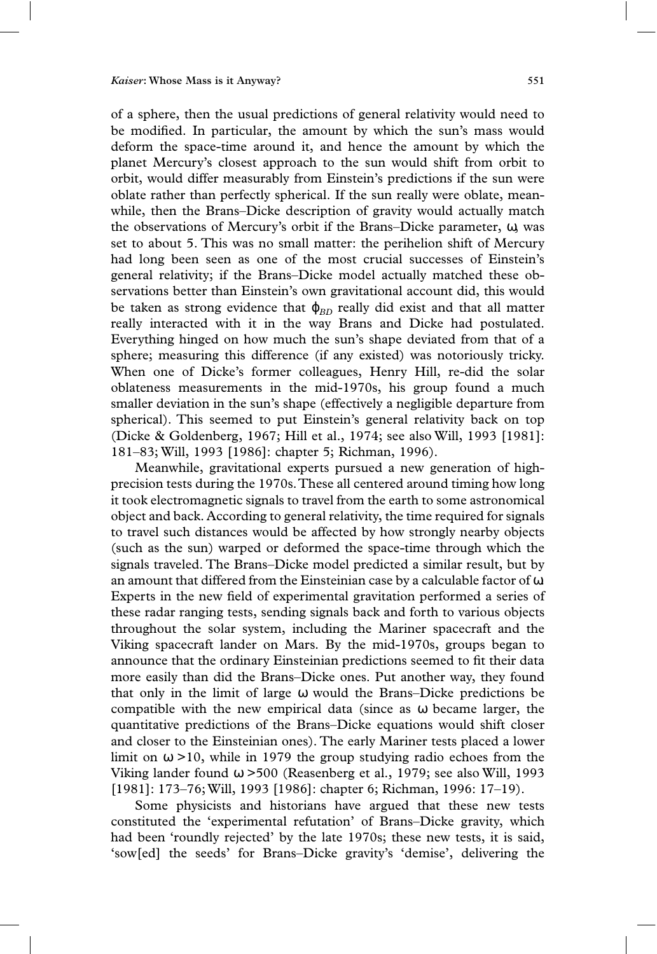of a sphere, then the usual predictions of general relativity would need to be modified. In particular, the amount by which the sun's mass would deform the space-time around it, and hence the amount by which the planet Mercury's closest approach to the sun would shift from orbit to orbit, would differ measurably from Einstein's predictions if the sun were oblate rather than perfectly spherical. If the sun really were oblate, meanwhile, then the Brans–Dicke description of gravity would actually match the observations of Mercury's orbit if the Brans–Dicke parameter, ω, was set to about 5. This was no small matter: the perihelion shift of Mercury had long been seen as one of the most crucial successes of Einstein's general relativity; if the Brans–Dicke model actually matched these observations better than Einstein's own gravitational account did, this would be taken as strong evidence that  $\varphi_{BD}$  really did exist and that all matter really interacted with it in the way Brans and Dicke had postulated. Everything hinged on how much the sun's shape deviated from that of a sphere; measuring this difference (if any existed) was notoriously tricky. When one of Dicke's former colleagues, Henry Hill, re-did the solar oblateness measurements in the mid-1970s, his group found a much smaller deviation in the sun's shape (effectively a negligible departure from spherical). This seemed to put Einstein's general relativity back on top (Dicke & Goldenberg, 1967; Hill et al., 1974; see also Will, 1993 [1981]: 181–83; Will, 1993 [1986]: chapter 5; Richman, 1996).

Meanwhile, gravitational experts pursued a new generation of highprecision tests during the 1970s. These all centered around timing how long it took electromagnetic signals to travel from the earth to some astronomical object and back. According to general relativity, the time required for signals to travel such distances would be affected by how strongly nearby objects (such as the sun) warped or deformed the space-time through which the signals traveled. The Brans–Dicke model predicted a similar result, but by an amount that differed from the Einsteinian case by a calculable factor of  $\omega$ . Experts in the new field of experimental gravitation performed a series of these radar ranging tests, sending signals back and forth to various objects throughout the solar system, including the Mariner spacecraft and the Viking spacecraft lander on Mars. By the mid-1970s, groups began to announce that the ordinary Einsteinian predictions seemed to fit their data more easily than did the Brans–Dicke ones. Put another way, they found that only in the limit of large ω would the Brans–Dicke predictions be compatible with the new empirical data (since as ω became larger, the quantitative predictions of the Brans–Dicke equations would shift closer and closer to the Einsteinian ones). The early Mariner tests placed a lower limit on  $\omega$  >10, while in 1979 the group studying radio echoes from the Viking lander found ω >500 (Reasenberg et al., 1979; see also Will, 1993 [1981]: 173–76; Will, 1993 [1986]: chapter 6; Richman, 1996: 17–19).

Some physicists and historians have argued that these new tests constituted the 'experimental refutation' of Brans–Dicke gravity, which had been 'roundly rejected' by the late 1970s; these new tests, it is said, 'sow[ed] the seeds' for Brans–Dicke gravity's 'demise', delivering the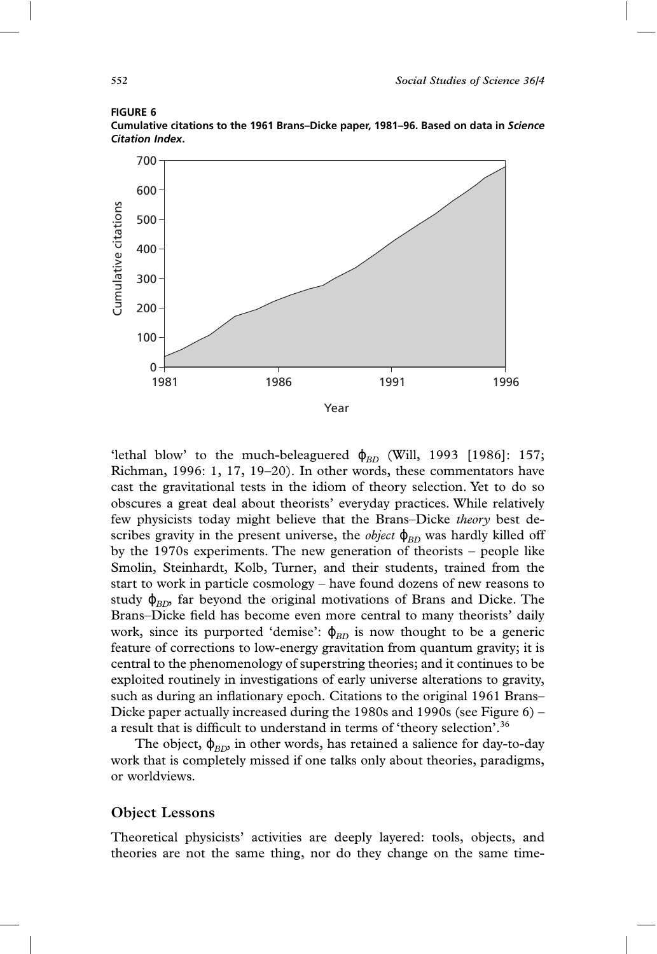

**FIGURE 6 Cumulative citations to the 1961 Brans–Dicke paper, 1981–96. Based on data in** *Science Citation Index***.**

'lethal blow' to the much-beleaguered  $\varphi_{BD}$  (Will, 1993 [1986]: 157; Richman, 1996: 1, 17, 19–20). In other words, these commentators have cast the gravitational tests in the idiom of theory selection. Yet to do so obscures a great deal about theorists' everyday practices. While relatively few physicists today might believe that the Brans–Dicke *theory* best describes gravity in the present universe, the *object*  $\varphi_{BD}$  was hardly killed off by the 1970s experiments. The new generation of theorists – people like Smolin, Steinhardt, Kolb, Turner, and their students, trained from the start to work in particle cosmology – have found dozens of new reasons to study  $\varphi_{BD}$  far beyond the original motivations of Brans and Dicke. The Brans–Dicke field has become even more central to many theorists' daily work, since its purported 'demise':  $\varphi_{BD}$  is now thought to be a generic feature of corrections to low-energy gravitation from quantum gravity; it is central to the phenomenology of superstring theories; and it continues to be exploited routinely in investigations of early universe alterations to gravity, such as during an inflationary epoch. Citations to the original 1961 Brans– Dicke paper actually increased during the 1980s and 1990s (see Figure 6) – a result that is difficult to understand in terms of 'theory selection'.<sup>36</sup>

The object,  $\varphi_{BD}$  in other words, has retained a salience for day-to-day work that is completely missed if one talks only about theories, paradigms, or worldviews.

# **Object Lessons**

Theoretical physicists' activities are deeply layered: tools, objects, and theories are not the same thing, nor do they change on the same time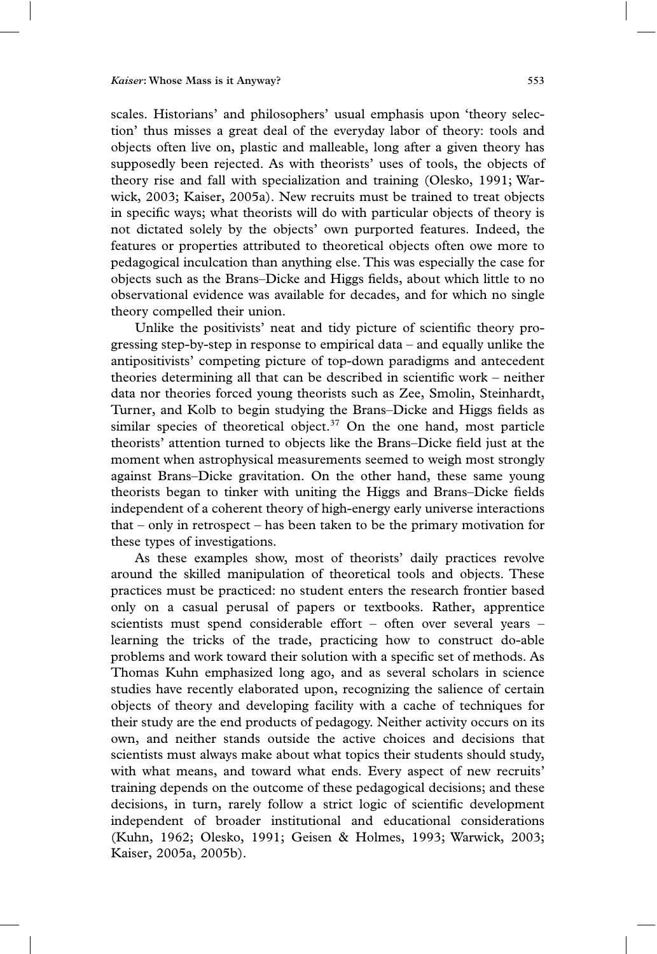scales. Historians' and philosophers' usual emphasis upon 'theory selection' thus misses a great deal of the everyday labor of theory: tools and objects often live on, plastic and malleable, long after a given theory has supposedly been rejected. As with theorists' uses of tools, the objects of theory rise and fall with specialization and training (Olesko, 1991; Warwick, 2003; Kaiser, 2005a). New recruits must be trained to treat objects in specific ways; what theorists will do with particular objects of theory is not dictated solely by the objects' own purported features. Indeed, the features or properties attributed to theoretical objects often owe more to pedagogical inculcation than anything else. This was especially the case for objects such as the Brans–Dicke and Higgs fields, about which little to no observational evidence was available for decades, and for which no single theory compelled their union.

Unlike the positivists' neat and tidy picture of scientific theory progressing step-by-step in response to empirical data – and equally unlike the antipositivists' competing picture of top-down paradigms and antecedent theories determining all that can be described in scientific work – neither data nor theories forced young theorists such as Zee, Smolin, Steinhardt, Turner, and Kolb to begin studying the Brans–Dicke and Higgs fields as similar species of theoretical object. $37$  On the one hand, most particle theorists' attention turned to objects like the Brans–Dicke field just at the moment when astrophysical measurements seemed to weigh most strongly against Brans–Dicke gravitation. On the other hand, these same young theorists began to tinker with uniting the Higgs and Brans–Dicke fields independent of a coherent theory of high-energy early universe interactions that – only in retrospect – has been taken to be the primary motivation for these types of investigations.

As these examples show, most of theorists' daily practices revolve around the skilled manipulation of theoretical tools and objects. These practices must be practiced: no student enters the research frontier based only on a casual perusal of papers or textbooks. Rather, apprentice scientists must spend considerable effort – often over several years – learning the tricks of the trade, practicing how to construct do-able problems and work toward their solution with a specific set of methods. As Thomas Kuhn emphasized long ago, and as several scholars in science studies have recently elaborated upon, recognizing the salience of certain objects of theory and developing facility with a cache of techniques for their study are the end products of pedagogy. Neither activity occurs on its own, and neither stands outside the active choices and decisions that scientists must always make about what topics their students should study, with what means, and toward what ends. Every aspect of new recruits' training depends on the outcome of these pedagogical decisions; and these decisions, in turn, rarely follow a strict logic of scientific development independent of broader institutional and educational considerations (Kuhn, 1962; Olesko, 1991; Geisen & Holmes, 1993; Warwick, 2003; Kaiser, 2005a, 2005b).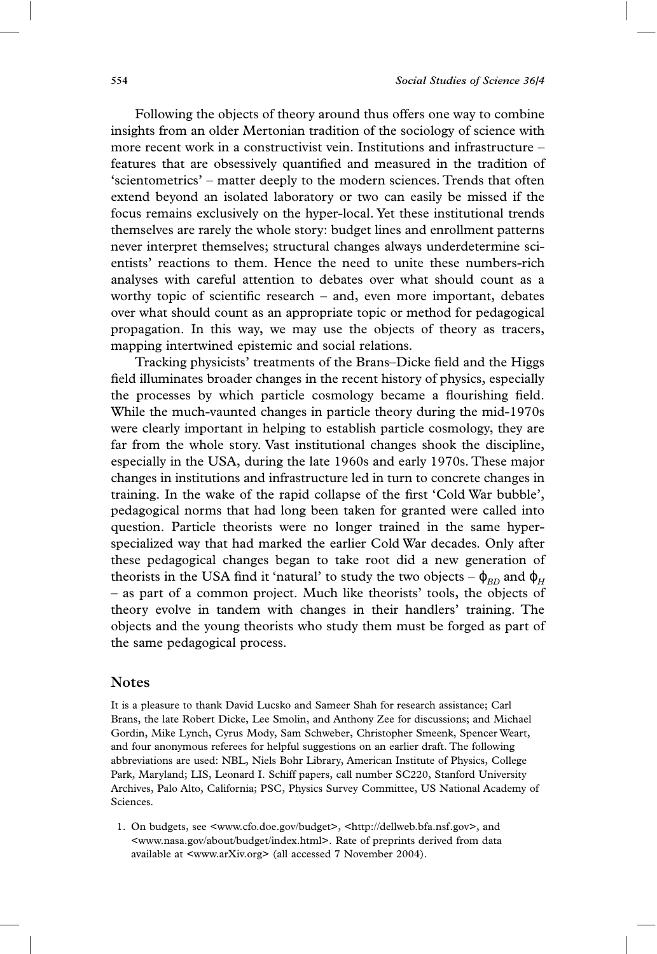Following the objects of theory around thus offers one way to combine insights from an older Mertonian tradition of the sociology of science with more recent work in a constructivist vein. Institutions and infrastructure – features that are obsessively quantified and measured in the tradition of 'scientometrics' – matter deeply to the modern sciences. Trends that often extend beyond an isolated laboratory or two can easily be missed if the focus remains exclusively on the hyper-local. Yet these institutional trends themselves are rarely the whole story: budget lines and enrollment patterns never interpret themselves; structural changes always underdetermine scientists' reactions to them. Hence the need to unite these numbers-rich analyses with careful attention to debates over what should count as a worthy topic of scientific research – and, even more important, debates over what should count as an appropriate topic or method for pedagogical propagation. In this way, we may use the objects of theory as tracers, mapping intertwined epistemic and social relations.

Tracking physicists' treatments of the Brans–Dicke field and the Higgs field illuminates broader changes in the recent history of physics, especially the processes by which particle cosmology became a flourishing field. While the much-vaunted changes in particle theory during the mid-1970s were clearly important in helping to establish particle cosmology, they are far from the whole story. Vast institutional changes shook the discipline, especially in the USA, during the late 1960s and early 1970s. These major changes in institutions and infrastructure led in turn to concrete changes in training. In the wake of the rapid collapse of the first 'Cold War bubble', pedagogical norms that had long been taken for granted were called into question. Particle theorists were no longer trained in the same hyperspecialized way that had marked the earlier Cold War decades. Only after these pedagogical changes began to take root did a new generation of theorists in the USA find it 'natural' to study the two objects –  $\varphi_{BD}$  and  $\varphi_H$ – as part of a common project. Much like theorists' tools, the objects of theory evolve in tandem with changes in their handlers' training. The objects and the young theorists who study them must be forged as part of the same pedagogical process.

## **Notes**

It is a pleasure to thank David Lucsko and Sameer Shah for research assistance; Carl Brans, the late Robert Dicke, Lee Smolin, and Anthony Zee for discussions; and Michael Gordin, Mike Lynch, Cyrus Mody, Sam Schweber, Christopher Smeenk, Spencer Weart, and four anonymous referees for helpful suggestions on an earlier draft. The following abbreviations are used: NBL, Niels Bohr Library, American Institute of Physics, College Park, Maryland; LIS, Leonard I. Schiff papers, call number SC220, Stanford University Archives, Palo Alto, California; PSC, Physics Survey Committee, US National Academy of Sciences.

1. On budgets, see <www.cfo.doe.gov/budget>, <http://dellweb.bfa.nsf.gov>, and <www.nasa.gov/about/budget/index.html>. Rate of preprints derived from data available at <www.arXiv.org> (all accessed 7 November 2004).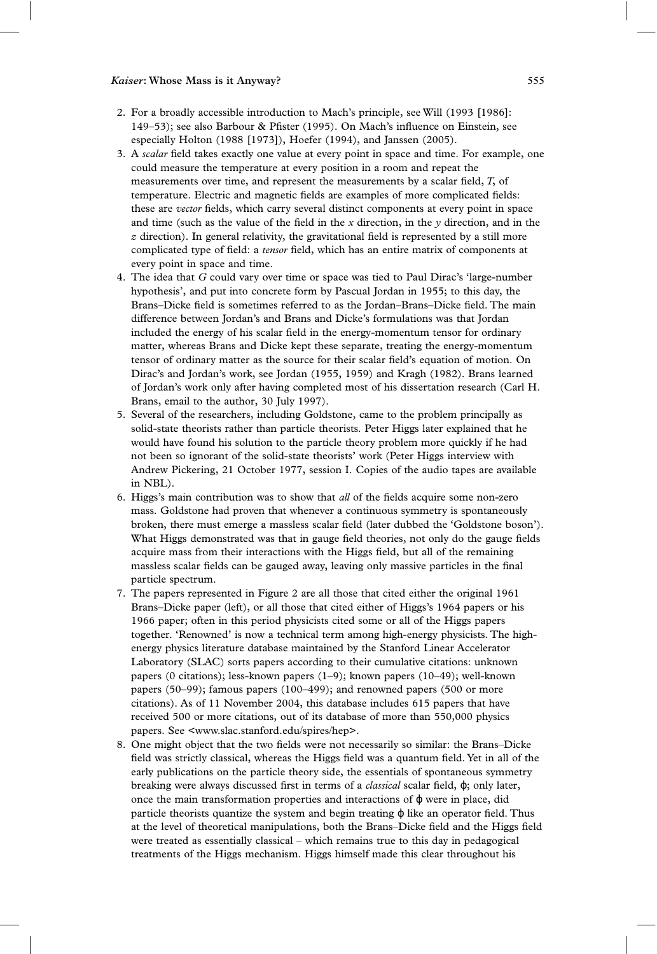- 2. For a broadly accessible introduction to Mach's principle, see Will (1993 [1986]: 149–53); see also Barbour & Pfister (1995). On Mach's influence on Einstein, see especially Holton (1988 [1973]), Hoefer (1994), and Janssen (2005).
- 3. A *scalar* field takes exactly one value at every point in space and time. For example, one could measure the temperature at every position in a room and repeat the measurements over time, and represent the measurements by a scalar field, *T*, of temperature. Electric and magnetic fields are examples of more complicated fields: these are *vector* fields, which carry several distinct components at every point in space and time (such as the value of the field in the *x* direction, in the *y* direction, and in the *z* direction). In general relativity, the gravitational field is represented by a still more complicated type of field: a *tensor* field, which has an entire matrix of components at every point in space and time.
- 4. The idea that *G* could vary over time or space was tied to Paul Dirac's 'large-number hypothesis', and put into concrete form by Pascual Jordan in 1955; to this day, the Brans–Dicke field is sometimes referred to as the Jordan–Brans–Dicke field. The main difference between Jordan's and Brans and Dicke's formulations was that Jordan included the energy of his scalar field in the energy-momentum tensor for ordinary matter, whereas Brans and Dicke kept these separate, treating the energy-momentum tensor of ordinary matter as the source for their scalar field's equation of motion. On Dirac's and Jordan's work, see Jordan (1955, 1959) and Kragh (1982). Brans learned of Jordan's work only after having completed most of his dissertation research (Carl H. Brans, email to the author, 30 July 1997).
- 5. Several of the researchers, including Goldstone, came to the problem principally as solid-state theorists rather than particle theorists. Peter Higgs later explained that he would have found his solution to the particle theory problem more quickly if he had not been so ignorant of the solid-state theorists' work (Peter Higgs interview with Andrew Pickering, 21 October 1977, session I. Copies of the audio tapes are available in NBL).
- 6. Higgs's main contribution was to show that *all* of the fields acquire some non-zero mass. Goldstone had proven that whenever a continuous symmetry is spontaneously broken, there must emerge a massless scalar field (later dubbed the 'Goldstone boson'). What Higgs demonstrated was that in gauge field theories, not only do the gauge fields acquire mass from their interactions with the Higgs field, but all of the remaining massless scalar fields can be gauged away, leaving only massive particles in the final particle spectrum.
- 7. The papers represented in Figure 2 are all those that cited either the original 1961 Brans–Dicke paper (left), or all those that cited either of Higgs's 1964 papers or his 1966 paper; often in this period physicists cited some or all of the Higgs papers together. 'Renowned' is now a technical term among high-energy physicists. The highenergy physics literature database maintained by the Stanford Linear Accelerator Laboratory (SLAC) sorts papers according to their cumulative citations: unknown papers (0 citations); less-known papers (1–9); known papers (10–49); well-known papers (50–99); famous papers (100–499); and renowned papers (500 or more citations). As of 11 November 2004, this database includes 615 papers that have received 500 or more citations, out of its database of more than 550,000 physics papers. See <www.slac.stanford.edu/spires/hep>.
- 8. One might object that the two fields were not necessarily so similar: the Brans–Dicke field was strictly classical, whereas the Higgs field was a quantum field. Yet in all of the early publications on the particle theory side, the essentials of spontaneous symmetry breaking were always discussed first in terms of a *classical* scalar field, ϕ; only later, once the main transformation properties and interactions of  $\varphi$  were in place, did particle theorists quantize the system and begin treating  $\varphi$  like an operator field. Thus at the level of theoretical manipulations, both the Brans–Dicke field and the Higgs field were treated as essentially classical – which remains true to this day in pedagogical treatments of the Higgs mechanism. Higgs himself made this clear throughout his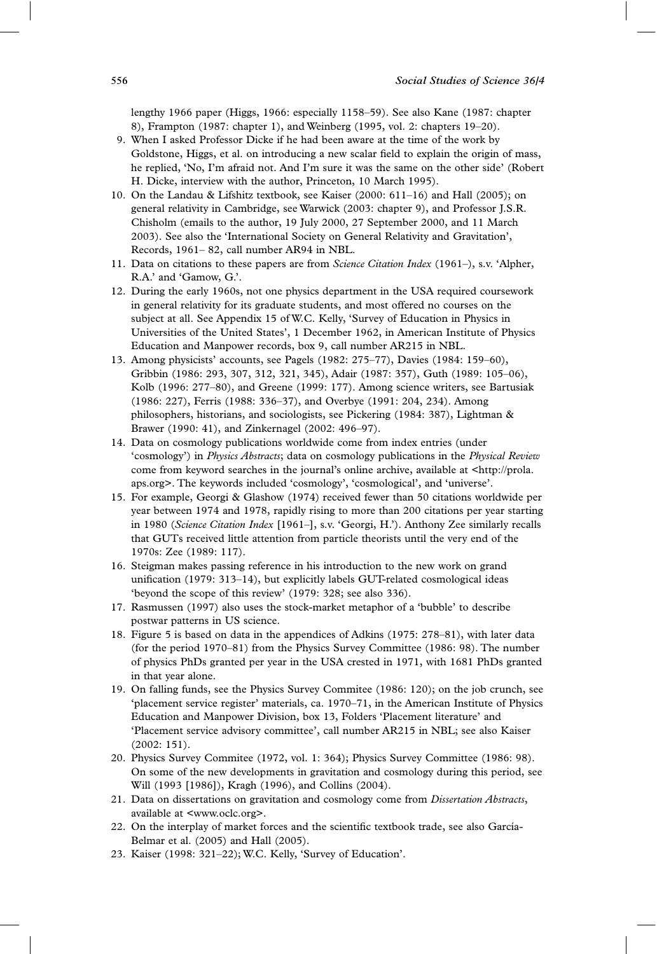lengthy 1966 paper (Higgs, 1966: especially 1158–59). See also Kane (1987: chapter 8), Frampton (1987: chapter 1), and Weinberg (1995, vol. 2: chapters 19–20).

- 9. When I asked Professor Dicke if he had been aware at the time of the work by Goldstone, Higgs, et al. on introducing a new scalar field to explain the origin of mass, he replied, 'No, I'm afraid not. And I'm sure it was the same on the other side' (Robert H. Dicke, interview with the author, Princeton, 10 March 1995).
- 10. On the Landau & Lifshitz textbook, see Kaiser (2000: 611–16) and Hall (2005); on general relativity in Cambridge, see Warwick (2003: chapter 9), and Professor J.S.R. Chisholm (emails to the author, 19 July 2000, 27 September 2000, and 11 March 2003). See also the 'International Society on General Relativity and Gravitation', Records, 1961– 82, call number AR94 in NBL.
- 11. Data on citations to these papers are from *Science Citation Index* (1961–), s.v. 'Alpher, R.A.' and 'Gamow, G.'.
- 12. During the early 1960s, not one physics department in the USA required coursework in general relativity for its graduate students, and most offered no courses on the subject at all. See Appendix 15 of W.C. Kelly, 'Survey of Education in Physics in Universities of the United States', 1 December 1962, in American Institute of Physics Education and Manpower records, box 9, call number AR215 in NBL.
- 13. Among physicists' accounts, see Pagels (1982: 275–77), Davies (1984: 159–60), Gribbin (1986: 293, 307, 312, 321, 345), Adair (1987: 357), Guth (1989: 105–06), Kolb (1996: 277–80), and Greene (1999: 177). Among science writers, see Bartusiak (1986: 227), Ferris (1988: 336–37), and Overbye (1991: 204, 234). Among philosophers, historians, and sociologists, see Pickering (1984: 387), Lightman & Brawer (1990: 41), and Zinkernagel (2002: 496–97).
- 14. Data on cosmology publications worldwide come from index entries (under 'cosmology') in *Physics Abstracts*; data on cosmology publications in the *Physical Review* come from keyword searches in the journal's online archive, available at <http://prola. aps.org>. The keywords included 'cosmology', 'cosmological', and 'universe'.
- 15. For example, Georgi & Glashow (1974) received fewer than 50 citations worldwide per year between 1974 and 1978, rapidly rising to more than 200 citations per year starting in 1980 (*Science Citation Index* [1961–], s.v. 'Georgi, H.'). Anthony Zee similarly recalls that GUTs received little attention from particle theorists until the very end of the 1970s: Zee (1989: 117).
- 16. Steigman makes passing reference in his introduction to the new work on grand unification (1979: 313–14), but explicitly labels GUT-related cosmological ideas 'beyond the scope of this review' (1979: 328; see also 336).
- 17. Rasmussen (1997) also uses the stock-market metaphor of a 'bubble' to describe postwar patterns in US science.
- 18. Figure 5 is based on data in the appendices of Adkins (1975: 278–81), with later data (for the period 1970–81) from the Physics Survey Committee (1986: 98). The number of physics PhDs granted per year in the USA crested in 1971, with 1681 PhDs granted in that year alone.
- 19. On falling funds, see the Physics Survey Commitee (1986: 120); on the job crunch, see 'placement service register' materials, ca. 1970–71, in the American Institute of Physics Education and Manpower Division, box 13, Folders 'Placement literature' and 'Placement service advisory committee', call number AR215 in NBL; see also Kaiser (2002: 151).
- 20. Physics Survey Commitee (1972, vol. 1: 364); Physics Survey Committee (1986: 98). On some of the new developments in gravitation and cosmology during this period, see Will (1993 [1986]), Kragh (1996), and Collins (2004).
- 21. Data on dissertations on gravitation and cosmology come from *Dissertation Abstracts*, available at <www.oclc.org>.
- 22. On the interplay of market forces and the scientific textbook trade, see also García-Belmar et al. (2005) and Hall (2005).
- 23. Kaiser (1998: 321–22); W.C. Kelly, 'Survey of Education'.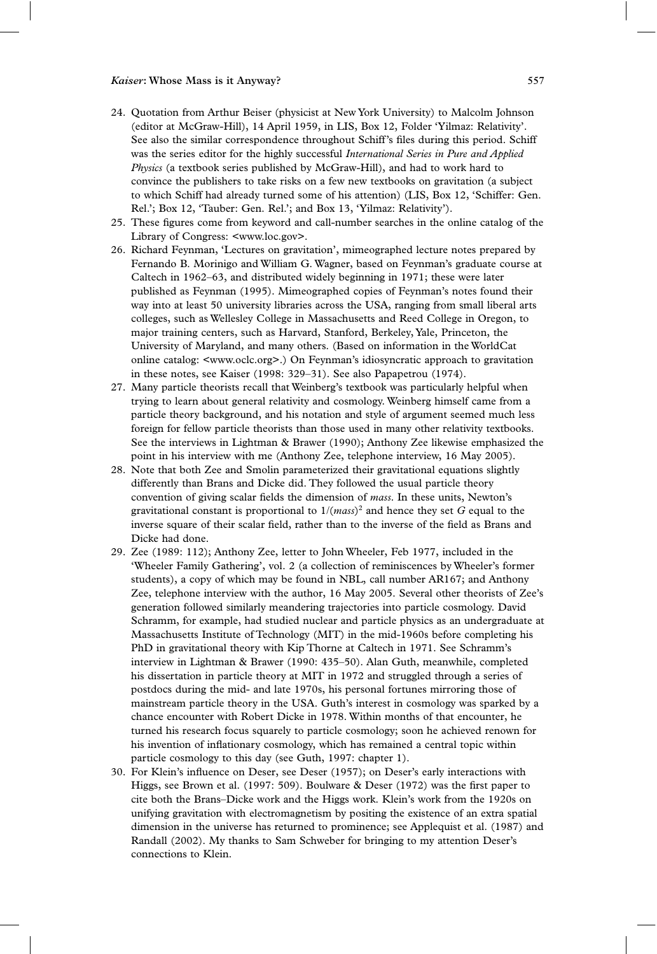- 24. Quotation from Arthur Beiser (physicist at New York University) to Malcolm Johnson (editor at McGraw-Hill), 14 April 1959, in LIS, Box 12, Folder 'Yilmaz: Relativity'. See also the similar correspondence throughout Schiff's files during this period. Schiff was the series editor for the highly successful *International Series in Pure and Applied Physics* (a textbook series published by McGraw-Hill), and had to work hard to convince the publishers to take risks on a few new textbooks on gravitation (a subject to which Schiff had already turned some of his attention) (LIS, Box 12, 'Schiffer: Gen. Rel.'; Box 12, 'Tauber: Gen. Rel.'; and Box 13, 'Yilmaz: Relativity').
- 25. These figures come from keyword and call-number searches in the online catalog of the Library of Congress: <www.loc.gov>.
- 26. Richard Feynman, 'Lectures on gravitation', mimeographed lecture notes prepared by Fernando B. Morinigo and William G. Wagner, based on Feynman's graduate course at Caltech in 1962–63, and distributed widely beginning in 1971; these were later published as Feynman (1995). Mimeographed copies of Feynman's notes found their way into at least 50 university libraries across the USA, ranging from small liberal arts colleges, such as Wellesley College in Massachusetts and Reed College in Oregon, to major training centers, such as Harvard, Stanford, Berkeley, Yale, Princeton, the University of Maryland, and many others. (Based on information in the WorldCat online catalog: <www.oclc.org>.) On Feynman's idiosyncratic approach to gravitation in these notes, see Kaiser (1998: 329–31). See also Papapetrou (1974).
- 27. Many particle theorists recall that Weinberg's textbook was particularly helpful when trying to learn about general relativity and cosmology. Weinberg himself came from a particle theory background, and his notation and style of argument seemed much less foreign for fellow particle theorists than those used in many other relativity textbooks. See the interviews in Lightman & Brawer (1990); Anthony Zee likewise emphasized the point in his interview with me (Anthony Zee, telephone interview, 16 May 2005).
- 28. Note that both Zee and Smolin parameterized their gravitational equations slightly differently than Brans and Dicke did. They followed the usual particle theory convention of giving scalar fields the dimension of *mass*. In these units, Newton's gravitational constant is proportional to  $1/(mass)^2$  and hence they set *G* equal to the inverse square of their scalar field, rather than to the inverse of the field as Brans and Dicke had done.
- 29. Zee (1989: 112); Anthony Zee, letter to John Wheeler, Feb 1977, included in the 'Wheeler Family Gathering', vol. 2 (a collection of reminiscences by Wheeler's former students), a copy of which may be found in NBL, call number AR167; and Anthony Zee, telephone interview with the author, 16 May 2005. Several other theorists of Zee's generation followed similarly meandering trajectories into particle cosmology. David Schramm, for example, had studied nuclear and particle physics as an undergraduate at Massachusetts Institute of Technology (MIT) in the mid-1960s before completing his PhD in gravitational theory with Kip Thorne at Caltech in 1971. See Schramm's interview in Lightman & Brawer (1990: 435–50). Alan Guth, meanwhile, completed his dissertation in particle theory at MIT in 1972 and struggled through a series of postdocs during the mid- and late 1970s, his personal fortunes mirroring those of mainstream particle theory in the USA. Guth's interest in cosmology was sparked by a chance encounter with Robert Dicke in 1978. Within months of that encounter, he turned his research focus squarely to particle cosmology; soon he achieved renown for his invention of inflationary cosmology, which has remained a central topic within particle cosmology to this day (see Guth, 1997: chapter 1).
- 30. For Klein's influence on Deser, see Deser (1957); on Deser's early interactions with Higgs, see Brown et al. (1997: 509). Boulware & Deser (1972) was the first paper to cite both the Brans–Dicke work and the Higgs work. Klein's work from the 1920s on unifying gravitation with electromagnetism by positing the existence of an extra spatial dimension in the universe has returned to prominence; see Applequist et al. (1987) and Randall (2002). My thanks to Sam Schweber for bringing to my attention Deser's connections to Klein.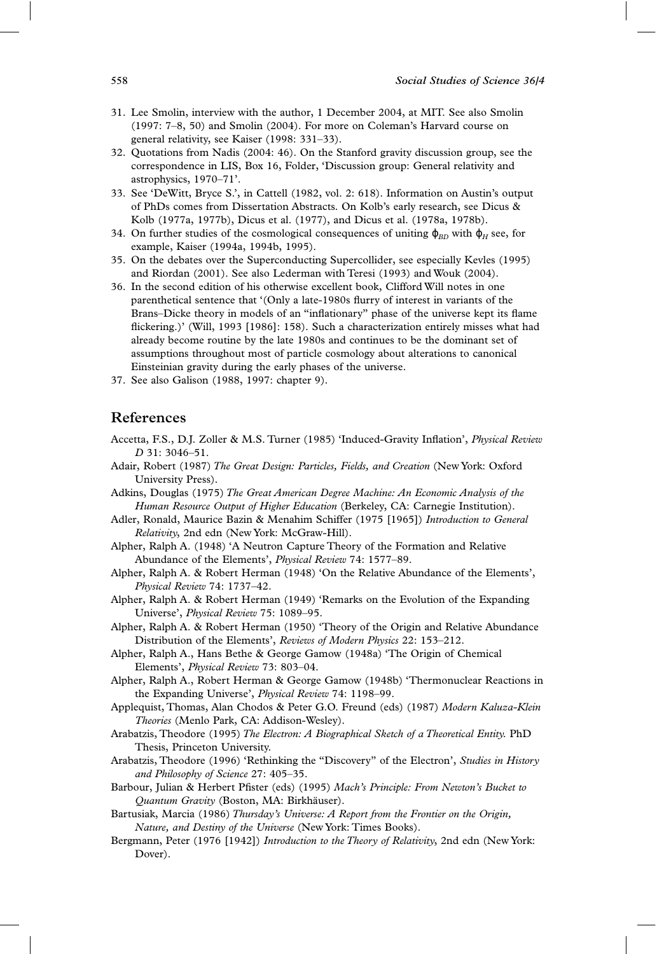- 31. Lee Smolin, interview with the author, 1 December 2004, at MIT. See also Smolin (1997: 7–8, 50) and Smolin (2004). For more on Coleman's Harvard course on general relativity, see Kaiser (1998: 331–33).
- 32. Quotations from Nadis (2004: 46). On the Stanford gravity discussion group, see the correspondence in LIS, Box 16, Folder, 'Discussion group: General relativity and astrophysics, 1970–71'.
- 33. See 'DeWitt, Bryce S.', in Cattell (1982, vol. 2: 618). Information on Austin's output of PhDs comes from Dissertation Abstracts. On Kolb's early research, see Dicus & Kolb (1977a, 1977b), Dicus et al. (1977), and Dicus et al. (1978a, 1978b).
- 34. On further studies of the cosmological consequences of uniting  $\varphi_{BD}$  with  $\varphi_H$  see, for example, Kaiser (1994a, 1994b, 1995).
- 35. On the debates over the Superconducting Supercollider, see especially Kevles (1995) and Riordan (2001). See also Lederman with Teresi (1993) and Wouk (2004).
- 36. In the second edition of his otherwise excellent book, Clifford Will notes in one parenthetical sentence that '(Only a late-1980s flurry of interest in variants of the Brans–Dicke theory in models of an "inflationary" phase of the universe kept its flame flickering.)' (Will, 1993 [1986]: 158). Such a characterization entirely misses what had already become routine by the late 1980s and continues to be the dominant set of assumptions throughout most of particle cosmology about alterations to canonical Einsteinian gravity during the early phases of the universe.
- 37. See also Galison (1988, 1997: chapter 9).

# **References**

- Accetta, F.S., D.J. Zoller & M.S. Turner (1985) 'Induced-Gravity Inflation', *Physical Review D* 31: 3046–51.
- Adair, Robert (1987) *The Great Design: Particles, Fields, and Creation* (New York: Oxford University Press).
- Adkins, Douglas (1975) *The Great American Degree Machine: An Economic Analysis of the Human Resource Output of Higher Education* (Berkeley, CA: Carnegie Institution).
- Adler, Ronald, Maurice Bazin & Menahim Schiffer (1975 [1965]) *Introduction to General Relativity*, 2nd edn (New York: McGraw-Hill).
- Alpher, Ralph A. (1948) 'A Neutron Capture Theory of the Formation and Relative Abundance of the Elements', *Physical Review* 74: 1577–89.
- Alpher, Ralph A. & Robert Herman (1948) 'On the Relative Abundance of the Elements', *Physical Review* 74: 1737–42.
- Alpher, Ralph A. & Robert Herman (1949) 'Remarks on the Evolution of the Expanding Universe', *Physical Review* 75: 1089–95.
- Alpher, Ralph A. & Robert Herman (1950) 'Theory of the Origin and Relative Abundance Distribution of the Elements', *Reviews of Modern Physics* 22: 153–212.
- Alpher, Ralph A., Hans Bethe & George Gamow (1948a) 'The Origin of Chemical Elements', *Physical Review* 73: 803–04.
- Alpher, Ralph A., Robert Herman & George Gamow (1948b) 'Thermonuclear Reactions in the Expanding Universe', *Physical Review* 74: 1198–99.
- Applequist, Thomas, Alan Chodos & Peter G.O. Freund (eds) (1987) *Modern Kaluza-Klein Theories* (Menlo Park, CA: Addison-Wesley).
- Arabatzis, Theodore (1995) *The Electron: A Biographical Sketch of a Theoretical Entity*. PhD Thesis, Princeton University.
- Arabatzis, Theodore (1996) 'Rethinking the "Discovery" of the Electron', *Studies in History and Philosophy of Science* 27: 405–35.
- Barbour, Julian & Herbert Pfister (eds) (1995) *Mach's Principle: From Newton's Bucket to Quantum Gravity* (Boston, MA: Birkhauser). ¨
- Bartusiak, Marcia (1986) *Thursday's Universe: A Report from the Frontier on the Origin, Nature, and Destiny of the Universe* (New York: Times Books).
- Bergmann, Peter (1976 [1942]) *Introduction to the Theory of Relativity*, 2nd edn (New York: Dover).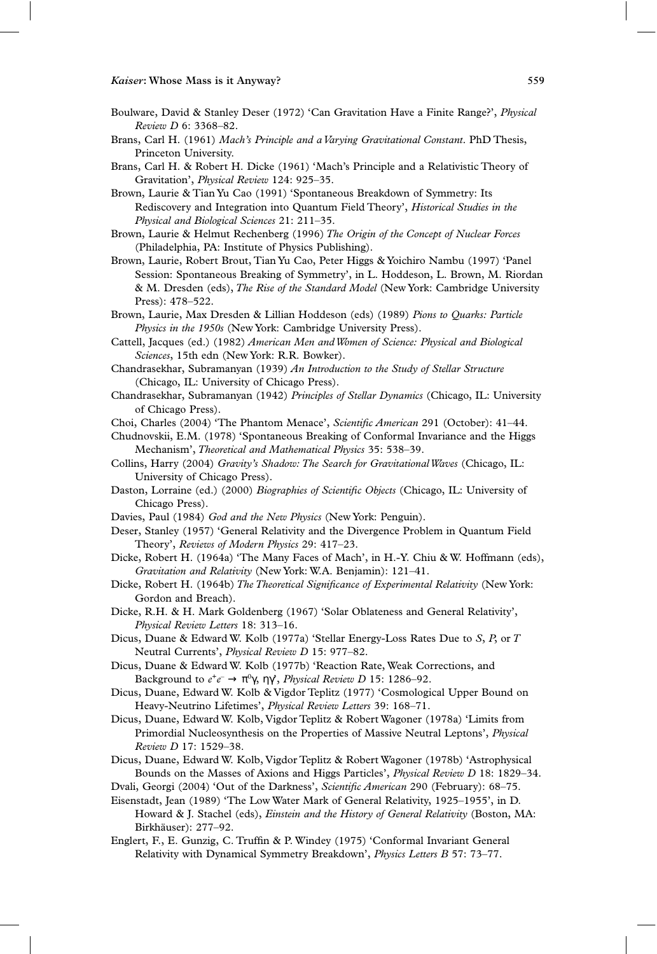- Boulware, David & Stanley Deser (1972) 'Can Gravitation Have a Finite Range?', *Physical Review D* 6: 3368–82.
- Brans, Carl H. (1961) *Mach's Principle and a Varying Gravitational Constant*. PhD Thesis, Princeton University.
- Brans, Carl H. & Robert H. Dicke (1961) 'Mach's Principle and a Relativistic Theory of Gravitation', *Physical Review* 124: 925–35.
- Brown, Laurie & Tian Yu Cao (1991) 'Spontaneous Breakdown of Symmetry: Its Rediscovery and Integration into Quantum Field Theory', *Historical Studies in the Physical and Biological Sciences* 21: 211–35.
- Brown, Laurie & Helmut Rechenberg (1996) *The Origin of the Concept of Nuclear Forces* (Philadelphia, PA: Institute of Physics Publishing).
- Brown, Laurie, Robert Brout, Tian Yu Cao, Peter Higgs & Yoichiro Nambu (1997) 'Panel Session: Spontaneous Breaking of Symmetry', in L. Hoddeson, L. Brown, M. Riordan & M. Dresden (eds), *The Rise of the Standard Model* (New York: Cambridge University Press): 478–522.
- Brown, Laurie, Max Dresden & Lillian Hoddeson (eds) (1989) *Pions to Quarks: Particle Physics in the 1950s* (New York: Cambridge University Press).
- Cattell, Jacques (ed.) (1982) *American Men and Women of Science: Physical and Biological Sciences*, 15th edn (New York: R.R. Bowker).
- Chandrasekhar, Subramanyan (1939) *An Introduction to the Study of Stellar Structure* (Chicago, IL: University of Chicago Press).
- Chandrasekhar, Subramanyan (1942) *Principles of Stellar Dynamics* (Chicago, IL: University of Chicago Press).
- Choi, Charles (2004) 'The Phantom Menace', *Scientific American* 291 (October): 41–44.
- Chudnovskii, E.M. (1978) 'Spontaneous Breaking of Conformal Invariance and the Higgs Mechanism', *Theoretical and Mathematical Physics* 35: 538–39.
- Collins, Harry (2004) *Gravity's Shadow: The Search for Gravitational Waves* (Chicago, IL: University of Chicago Press).
- Daston, Lorraine (ed.) (2000) *Biographies of Scientific Objects* (Chicago, IL: University of Chicago Press).
- Davies, Paul (1984) *God and the New Physics* (New York: Penguin).
- Deser, Stanley (1957) 'General Relativity and the Divergence Problem in Quantum Field Theory', *Reviews of Modern Physics* 29: 417–23.
- Dicke, Robert H. (1964a) 'The Many Faces of Mach', in H.-Y. Chiu & W. Hoffmann (eds), *Gravitation and Relativity* (New York: W.A. Benjamin): 121–41.
- Dicke, Robert H. (1964b) *The Theoretical Significance of Experimental Relativity* (New York: Gordon and Breach).
- Dicke, R.H. & H. Mark Goldenberg (1967) 'Solar Oblateness and General Relativity', *Physical Review Letters* 18: 313–16.
- Dicus, Duane & Edward W. Kolb (1977a) 'Stellar Energy-Loss Rates Due to *S*, *P*, or *T* Neutral Currents', *Physical Review D* 15: 977–82.
- Dicus, Duane & Edward W. Kolb (1977b) 'Reaction Rate, Weak Corrections, and Background to  $e^+e^- \rightarrow \pi^0\gamma$ ,  $\eta\gamma$ , *Physical Review D* 15: 1286–92.
- Dicus, Duane, Edward W. Kolb & Vigdor Teplitz (1977) 'Cosmological Upper Bound on Heavy-Neutrino Lifetimes', *Physical Review Letters* 39: 168–71.
- Dicus, Duane, Edward W. Kolb, Vigdor Teplitz & Robert Wagoner (1978a) 'Limits from Primordial Nucleosynthesis on the Properties of Massive Neutral Leptons', *Physical Review D* 17: 1529–38.
- Dicus, Duane, Edward W. Kolb, Vigdor Teplitz & Robert Wagoner (1978b) 'Astrophysical Bounds on the Masses of Axions and Higgs Particles', *Physical Review D* 18: 1829–34.
- Dvali, Georgi (2004) 'Out of the Darkness', *Scientific American* 290 (February): 68–75.
- Eisenstadt, Jean (1989) 'The Low Water Mark of General Relativity, 1925–1955', in D. Howard & J. Stachel (eds), *Einstein and the History of General Relativity* (Boston, MA: Birkhäuser): 277-92.
- Englert, F., E. Gunzig, C. Truffin & P. Windey (1975) 'Conformal Invariant General Relativity with Dynamical Symmetry Breakdown', *Physics Letters B* 57: 73–77.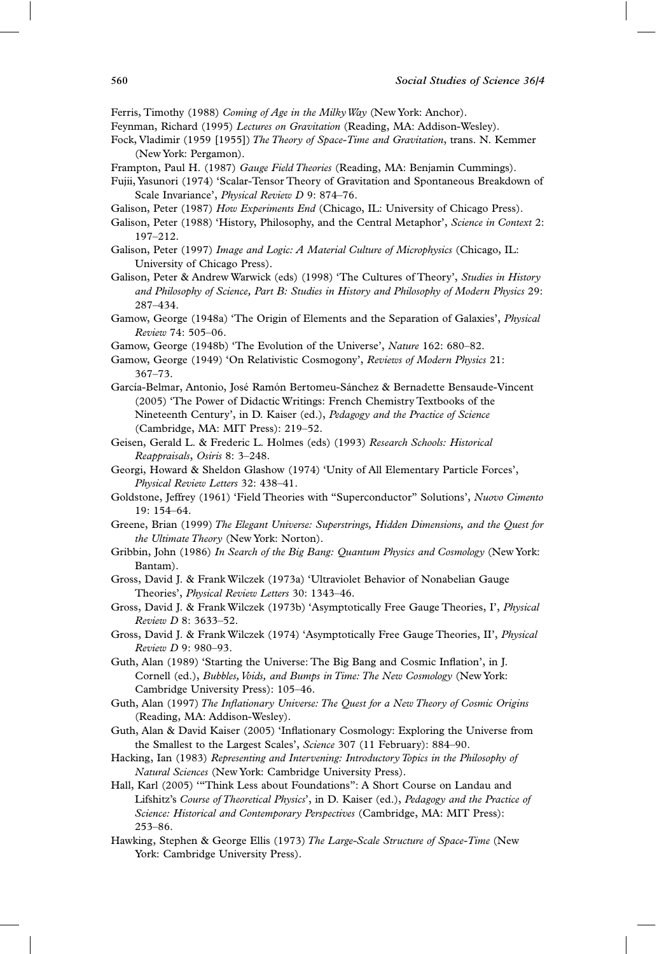Ferris, Timothy (1988) *Coming of Age in the Milky Way* (New York: Anchor).

- Feynman, Richard (1995) *Lectures on Gravitation* (Reading, MA: Addison-Wesley).
- Fock, Vladimir (1959 [1955]) *The Theory of Space-Time and Gravitation*, trans. N. Kemmer (New York: Pergamon).
- Frampton, Paul H. (1987) *Gauge Field Theories* (Reading, MA: Benjamin Cummings).
- Fujii, Yasunori (1974) 'Scalar-Tensor Theory of Gravitation and Spontaneous Breakdown of Scale Invariance', *Physical Review D* 9: 874–76.
- Galison, Peter (1987) *How Experiments End* (Chicago, IL: University of Chicago Press).
- Galison, Peter (1988) 'History, Philosophy, and the Central Metaphor', *Science in Context* 2: 197–212.
- Galison, Peter (1997) *Image and Logic: A Material Culture of Microphysics* (Chicago, IL: University of Chicago Press).
- Galison, Peter & Andrew Warwick (eds) (1998) 'The Cultures of Theory', *Studies in History and Philosophy of Science, Part B: Studies in History and Philosophy of Modern Physics* 29: 287–434.
- Gamow, George (1948a) 'The Origin of Elements and the Separation of Galaxies', *Physical Review* 74: 505–06.
- Gamow, George (1948b) 'The Evolution of the Universe', *Nature* 162: 680–82.
- Gamow, George (1949) 'On Relativistic Cosmogony', *Reviews of Modern Physics* 21: 367–73.
- García-Belmar, Antonio, José Ramón Bertomeu-Sánchez & Bernadette Bensaude-Vincent (2005) 'The Power of Didactic Writings: French Chemistry Textbooks of the Nineteenth Century', in D. Kaiser (ed.), *Pedagogy and the Practice of Science* (Cambridge, MA: MIT Press): 219–52.
- Geisen, Gerald L. & Frederic L. Holmes (eds) (1993) *Research Schools: Historical Reappraisals*, *Osiris* 8: 3–248.
- Georgi, Howard & Sheldon Glashow (1974) 'Unity of All Elementary Particle Forces', *Physical Review Letters* 32: 438–41.
- Goldstone, Jeffrey (1961) 'Field Theories with "Superconductor" Solutions', *Nuovo Cimento* 19: 154–64.
- Greene, Brian (1999) *The Elegant Universe: Superstrings, Hidden Dimensions, and the Quest for the Ultimate Theory* (New York: Norton).
- Gribbin, John (1986) *In Search of the Big Bang: Quantum Physics and Cosmology* (New York: Bantam).
- Gross, David J. & Frank Wilczek (1973a) 'Ultraviolet Behavior of Nonabelian Gauge Theories', *Physical Review Letters* 30: 1343–46.
- Gross, David J. & Frank Wilczek (1973b) 'Asymptotically Free Gauge Theories, I', *Physical Review D* 8: 3633–52.
- Gross, David J. & Frank Wilczek (1974) 'Asymptotically Free Gauge Theories, II', *Physical Review D* 9: 980–93.
- Guth, Alan (1989) 'Starting the Universe: The Big Bang and Cosmic Inflation', in J. Cornell (ed.), *Bubbles, Voids, and Bumps in Time: The New Cosmology* (New York: Cambridge University Press): 105–46.
- Guth, Alan (1997) *The Inflationary Universe: The Quest for a New Theory of Cosmic Origins* (Reading, MA: Addison-Wesley).
- Guth, Alan & David Kaiser (2005) 'Inflationary Cosmology: Exploring the Universe from the Smallest to the Largest Scales', *Science* 307 (11 February): 884–90.
- Hacking, Ian (1983) *Representing and Intervening: Introductory Topics in the Philosophy of Natural Sciences* (New York: Cambridge University Press).
- Hall, Karl (2005) '"Think Less about Foundations": A Short Course on Landau and Lifshitz's *Course of Theoretical Physics*', in D. Kaiser (ed.), *Pedagogy and the Practice of Science: Historical and Contemporary Perspectives* (Cambridge, MA: MIT Press): 253–86.
- Hawking, Stephen & George Ellis (1973) *The Large-Scale Structure of Space-Time* (New York: Cambridge University Press).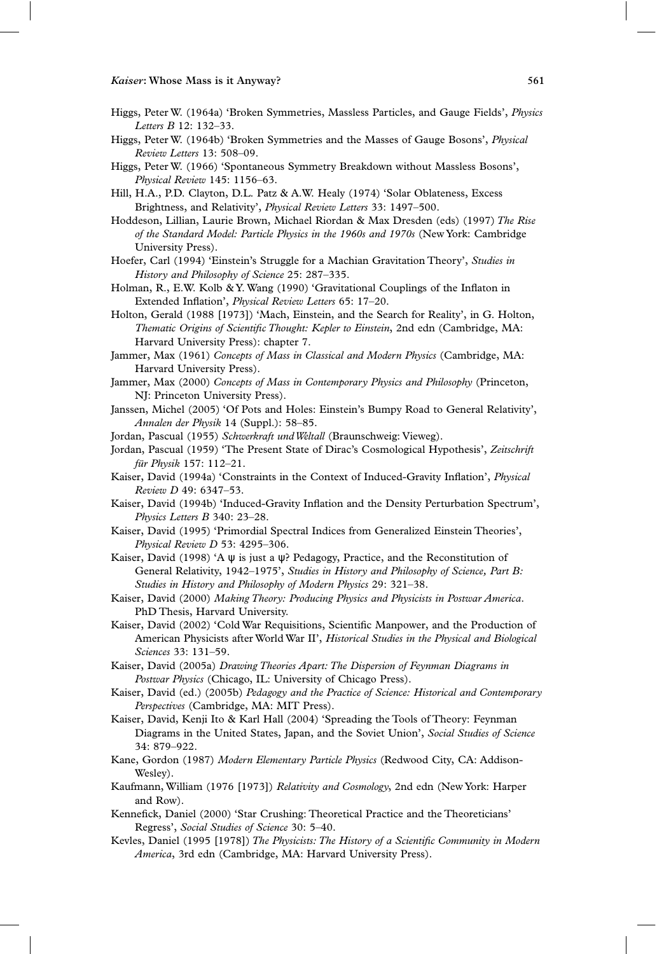- Higgs, Peter W. (1964a) 'Broken Symmetries, Massless Particles, and Gauge Fields', *Physics Letters B* 12: 132–33.
- Higgs, Peter W. (1964b) 'Broken Symmetries and the Masses of Gauge Bosons', *Physical Review Letters* 13: 508–09.
- Higgs, Peter W. (1966) 'Spontaneous Symmetry Breakdown without Massless Bosons', *Physical Review* 145: 1156–63.
- Hill, H.A., P.D. Clayton, D.L. Patz & A.W. Healy (1974) 'Solar Oblateness, Excess Brightness, and Relativity', *Physical Review Letters* 33: 1497–500.
- Hoddeson, Lillian, Laurie Brown, Michael Riordan & Max Dresden (eds) (1997) *The Rise of the Standard Model: Particle Physics in the 1960s and 1970s* (New York: Cambridge University Press).
- Hoefer, Carl (1994) 'Einstein's Struggle for a Machian Gravitation Theory', *Studies in History and Philosophy of Science* 25: 287–335.
- Holman, R., E.W. Kolb & Y. Wang (1990) 'Gravitational Couplings of the Inflaton in Extended Inflation', *Physical Review Letters* 65: 17–20.
- Holton, Gerald (1988 [1973]) 'Mach, Einstein, and the Search for Reality', in G. Holton, *Thematic Origins of Scientific Thought: Kepler to Einstein*, 2nd edn (Cambridge, MA: Harvard University Press): chapter 7.
- Jammer, Max (1961) *Concepts of Mass in Classical and Modern Physics* (Cambridge, MA: Harvard University Press).
- Jammer, Max (2000) *Concepts of Mass in Contemporary Physics and Philosophy* (Princeton, NJ: Princeton University Press).
- Janssen, Michel (2005) 'Of Pots and Holes: Einstein's Bumpy Road to General Relativity', *Annalen der Physik* 14 (Suppl.): 58–85.
- Jordan, Pascual (1955) *Schwerkraft und Weltall* (Braunschweig: Vieweg).
- Jordan, Pascual (1959) 'The Present State of Dirac's Cosmological Hypothesis', *Zeitschrift für Physik* 157: 112-21.
- Kaiser, David (1994a) 'Constraints in the Context of Induced-Gravity Inflation', *Physical Review D* 49: 6347–53.
- Kaiser, David (1994b) 'Induced-Gravity Inflation and the Density Perturbation Spectrum', *Physics Letters B* 340: 23–28.
- Kaiser, David (1995) 'Primordial Spectral Indices from Generalized Einstein Theories', *Physical Review D* 53: 4295–306.
- Kaiser, David (1998) 'A  $\psi$  is just a  $\psi$ ? Pedagogy, Practice, and the Reconstitution of General Relativity, 1942–1975', *Studies in History and Philosophy of Science, Part B: Studies in History and Philosophy of Modern Physics* 29: 321–38.
- Kaiser, David (2000) *Making Theory: Producing Physics and Physicists in Postwar America*. PhD Thesis, Harvard University.
- Kaiser, David (2002) 'Cold War Requisitions, Scientific Manpower, and the Production of American Physicists after World War II', *Historical Studies in the Physical and Biological Sciences* 33: 131–59.
- Kaiser, David (2005a) *Drawing Theories Apart: The Dispersion of Feynman Diagrams in Postwar Physics* (Chicago, IL: University of Chicago Press).
- Kaiser, David (ed.) (2005b) *Pedagogy and the Practice of Science: Historical and Contemporary Perspectives* (Cambridge, MA: MIT Press).
- Kaiser, David, Kenji Ito & Karl Hall (2004) 'Spreading the Tools of Theory: Feynman Diagrams in the United States, Japan, and the Soviet Union', *Social Studies of Science* 34: 879–922.
- Kane, Gordon (1987) *Modern Elementary Particle Physics* (Redwood City, CA: Addison-Wesley).
- Kaufmann, William (1976 [1973]) *Relativity and Cosmology*, 2nd edn (New York: Harper and Row).
- Kennefick, Daniel (2000) 'Star Crushing: Theoretical Practice and the Theoreticians' Regress', *Social Studies of Science* 30: 5–40.
- Kevles, Daniel (1995 [1978]) *The Physicists: The History of a Scientific Community in Modern America*, 3rd edn (Cambridge, MA: Harvard University Press).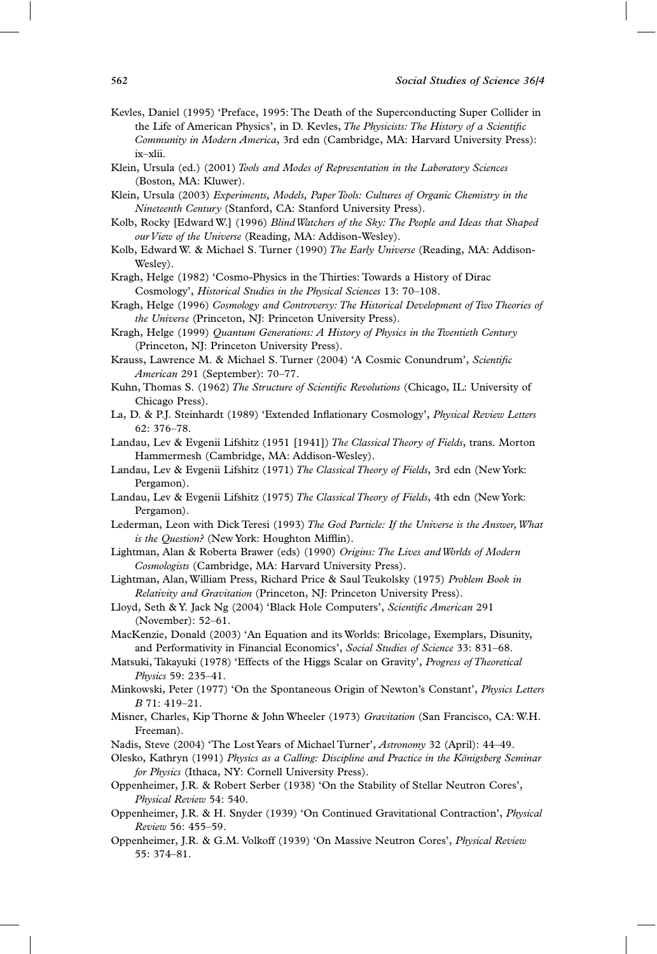- Kevles, Daniel (1995) 'Preface, 1995: The Death of the Superconducting Super Collider in the Life of American Physics', in D. Kevles, *The Physicists: The History of a Scientific Community in Modern America*, 3rd edn (Cambridge, MA: Harvard University Press): ix–xlii.
- Klein, Ursula (ed.) (2001) *Tools and Modes of Representation in the Laboratory Sciences* (Boston, MA: Kluwer).
- Klein, Ursula (2003) *Experiments, Models, Paper Tools: Cultures of Organic Chemistry in the Nineteenth Century* (Stanford, CA: Stanford University Press).
- Kolb, Rocky [Edward W.] (1996) *Blind Watchers of the Sky: The People and Ideas that Shaped our View of the Universe* (Reading, MA: Addison-Wesley).
- Kolb, Edward W. & Michael S. Turner (1990) *The Early Universe* (Reading, MA: Addison-Wesley).
- Kragh, Helge (1982) 'Cosmo-Physics in the Thirties: Towards a History of Dirac Cosmology', *Historical Studies in the Physical Sciences* 13: 70–108.
- Kragh, Helge (1996) *Cosmology and Controversy: The Historical Development of Two Theories of the Universe* (Princeton, NJ: Princeton University Press).
- Kragh, Helge (1999) *Quantum Generations: A History of Physics in the Twentieth Century* (Princeton, NJ: Princeton University Press).
- Krauss, Lawrence M. & Michael S. Turner (2004) 'A Cosmic Conundrum', *Scientific American* 291 (September): 70–77.
- Kuhn, Thomas S. (1962) *The Structure of Scientific Revolutions* (Chicago, IL: University of Chicago Press).
- La, D. & P.J. Steinhardt (1989) 'Extended Inflationary Cosmology', *Physical Review Letters* 62: 376–78.
- Landau, Lev & Evgenii Lifshitz (1951 [1941]) *The Classical Theory of Fields*, trans. Morton Hammermesh (Cambridge, MA: Addison-Wesley).
- Landau, Lev & Evgenii Lifshitz (1971) *The Classical Theory of Fields*, 3rd edn (New York: Pergamon).
- Landau, Lev & Evgenii Lifshitz (1975) *The Classical Theory of Fields*, 4th edn (New York: Pergamon).
- Lederman, Leon with Dick Teresi (1993) *The God Particle: If the Universe is the Answer, What is the Question?* (New York: Houghton Mifflin).
- Lightman, Alan & Roberta Brawer (eds) (1990) *Origins: The Lives and Worlds of Modern Cosmologists* (Cambridge, MA: Harvard University Press).
- Lightman, Alan, William Press, Richard Price & Saul Teukolsky (1975) *Problem Book in Relativity and Gravitation* (Princeton, NJ: Princeton University Press).
- Lloyd, Seth & Y. Jack Ng (2004) 'Black Hole Computers', *Scientific American* 291 (November): 52–61.
- MacKenzie, Donald (2003) 'An Equation and its Worlds: Bricolage, Exemplars, Disunity, and Performativity in Financial Economics', *Social Studies of Science* 33: 831–68.
- Matsuki, Takayuki (1978) 'Effects of the Higgs Scalar on Gravity', *Progress of Theoretical Physics* 59: 235–41.
- Minkowski, Peter (1977) 'On the Spontaneous Origin of Newton's Constant', *Physics Letters B* 71: 419–21.
- Misner, Charles, Kip Thorne & John Wheeler (1973) *Gravitation* (San Francisco, CA: W.H. Freeman).
- Nadis, Steve (2004) 'The Lost Years of Michael Turner', *Astronomy* 32 (April): 44–49.
- Olesko, Kathryn (1991) *Physics as a Calling: Discipline and Practice in the Konigsberg Seminar ¨ for Physics* (Ithaca, NY: Cornell University Press).
- Oppenheimer, J.R. & Robert Serber (1938) 'On the Stability of Stellar Neutron Cores', *Physical Review* 54: 540.
- Oppenheimer, J.R. & H. Snyder (1939) 'On Continued Gravitational Contraction', *Physical Review* 56: 455–59.
- Oppenheimer, J.R. & G.M. Volkoff (1939) 'On Massive Neutron Cores', *Physical Review* 55: 374–81.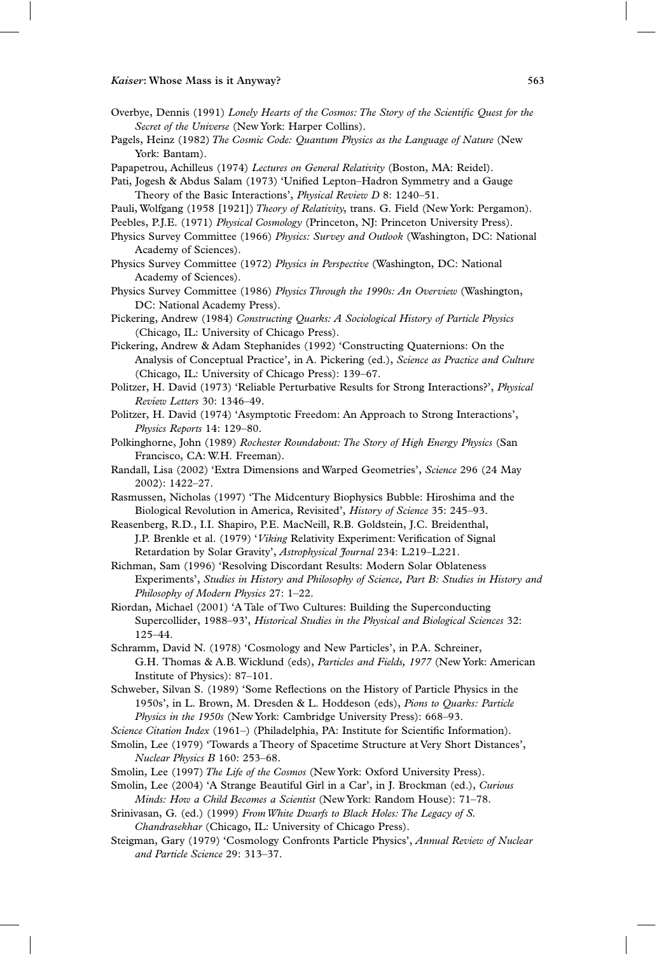- Overbye, Dennis (1991) *Lonely Hearts of the Cosmos: The Story of the Scientific Quest for the Secret of the Universe* (New York: Harper Collins).
- Pagels, Heinz (1982) *The Cosmic Code: Quantum Physics as the Language of Nature* (New York: Bantam).
- Papapetrou, Achilleus (1974) *Lectures on General Relativity* (Boston, MA: Reidel).
- Pati, Jogesh & Abdus Salam (1973) 'Unified Lepton–Hadron Symmetry and a Gauge Theory of the Basic Interactions', *Physical Review D* 8: 1240–51.
- Pauli, Wolfgang (1958 [1921]) *Theory of Relativity*, trans. G. Field (New York: Pergamon).
- Peebles, P.J.E. (1971) *Physical Cosmology* (Princeton, NJ: Princeton University Press).
- Physics Survey Committee (1966) *Physics: Survey and Outlook* (Washington, DC: National Academy of Sciences).
- Physics Survey Committee (1972) *Physics in Perspective* (Washington, DC: National Academy of Sciences).
- Physics Survey Committee (1986) *Physics Through the 1990s: An Overview* (Washington, DC: National Academy Press).
- Pickering, Andrew (1984) *Constructing Quarks: A Sociological History of Particle Physics* (Chicago, IL: University of Chicago Press).
- Pickering, Andrew & Adam Stephanides (1992) 'Constructing Quaternions: On the Analysis of Conceptual Practice', in A. Pickering (ed.), *Science as Practice and Culture* (Chicago, IL: University of Chicago Press): 139–67.
- Politzer, H. David (1973) 'Reliable Perturbative Results for Strong Interactions?', *Physical Review Letters* 30: 1346–49.
- Politzer, H. David (1974) 'Asymptotic Freedom: An Approach to Strong Interactions', *Physics Reports* 14: 129–80.
- Polkinghorne, John (1989) *Rochester Roundabout: The Story of High Energy Physics* (San Francisco, CA: W.H. Freeman).
- Randall, Lisa (2002) 'Extra Dimensions and Warped Geometries', *Science* 296 (24 May 2002): 1422–27.
- Rasmussen, Nicholas (1997) 'The Midcentury Biophysics Bubble: Hiroshima and the Biological Revolution in America, Revisited', *History of Science* 35: 245–93.
- Reasenberg, R.D., I.I. Shapiro, P.E. MacNeill, R.B. Goldstein, J.C. Breidenthal, J.P. Brenkle et al. (1979) '*Viking* Relativity Experiment: Verification of Signal Retardation by Solar Gravity', *Astrophysical Journal* 234: L219–L221.
- Richman, Sam (1996) 'Resolving Discordant Results: Modern Solar Oblateness Experiments', *Studies in History and Philosophy of Science, Part B: Studies in History and Philosophy of Modern Physics* 27: 1–22.
- Riordan, Michael (2001) 'A Tale of Two Cultures: Building the Superconducting Supercollider, 1988–93', *Historical Studies in the Physical and Biological Sciences* 32: 125–44.
- Schramm, David N. (1978) 'Cosmology and New Particles', in P.A. Schreiner, G.H. Thomas & A.B. Wicklund (eds), *Particles and Fields, 1977* (New York: American Institute of Physics): 87–101.
- Schweber, Silvan S. (1989) 'Some Reflections on the History of Particle Physics in the 1950s', in L. Brown, M. Dresden & L. Hoddeson (eds), *Pions to Quarks: Particle Physics in the 1950s* (New York: Cambridge University Press): 668–93.
- *Science Citation Index* (1961–) (Philadelphia, PA: Institute for Scientific Information).
- Smolin, Lee (1979) 'Towards a Theory of Spacetime Structure at Very Short Distances', *Nuclear Physics B* 160: 253–68.
- Smolin, Lee (1997) *The Life of the Cosmos* (New York: Oxford University Press).
- Smolin, Lee (2004) 'A Strange Beautiful Girl in a Car', in J. Brockman (ed.), *Curious Minds: How a Child Becomes a Scientist* (New York: Random House): 71–78.
- Srinivasan, G. (ed.) (1999) *From White Dwarfs to Black Holes: The Legacy of S. Chandrasekhar* (Chicago, IL: University of Chicago Press).
- Steigman, Gary (1979) 'Cosmology Confronts Particle Physics', *Annual Review of Nuclear and Particle Science* 29: 313–37.